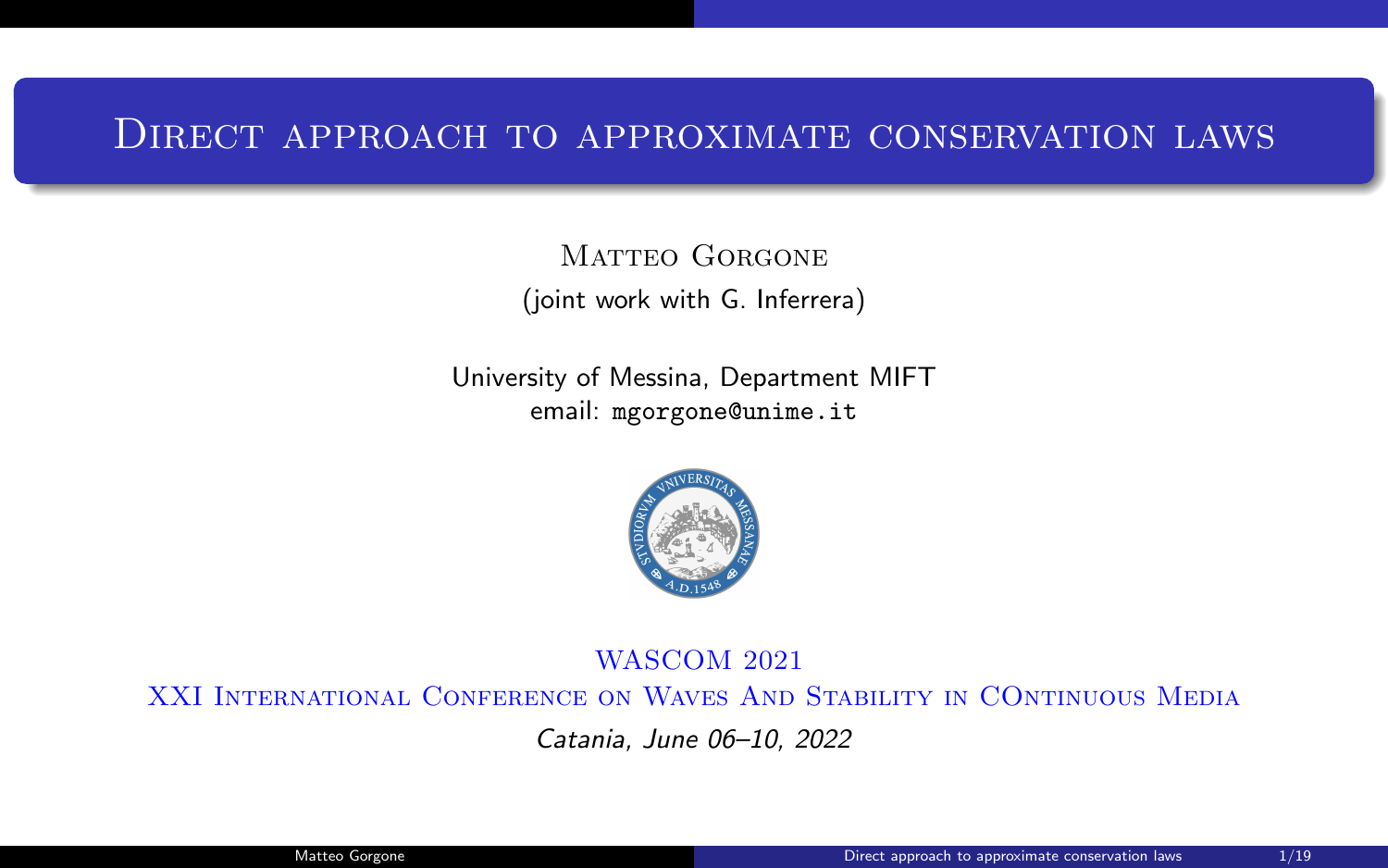## Direct approach to approximate conservation laws

MATTEO GORGONE (joint work with G. Inferrera)

University of Messina, Department MIFT email: mgorgone@unime.it



#### WASCOM 2021

XXI International Conference on Waves And Stability in COntinuous Media

Catania, June 06–10, 2022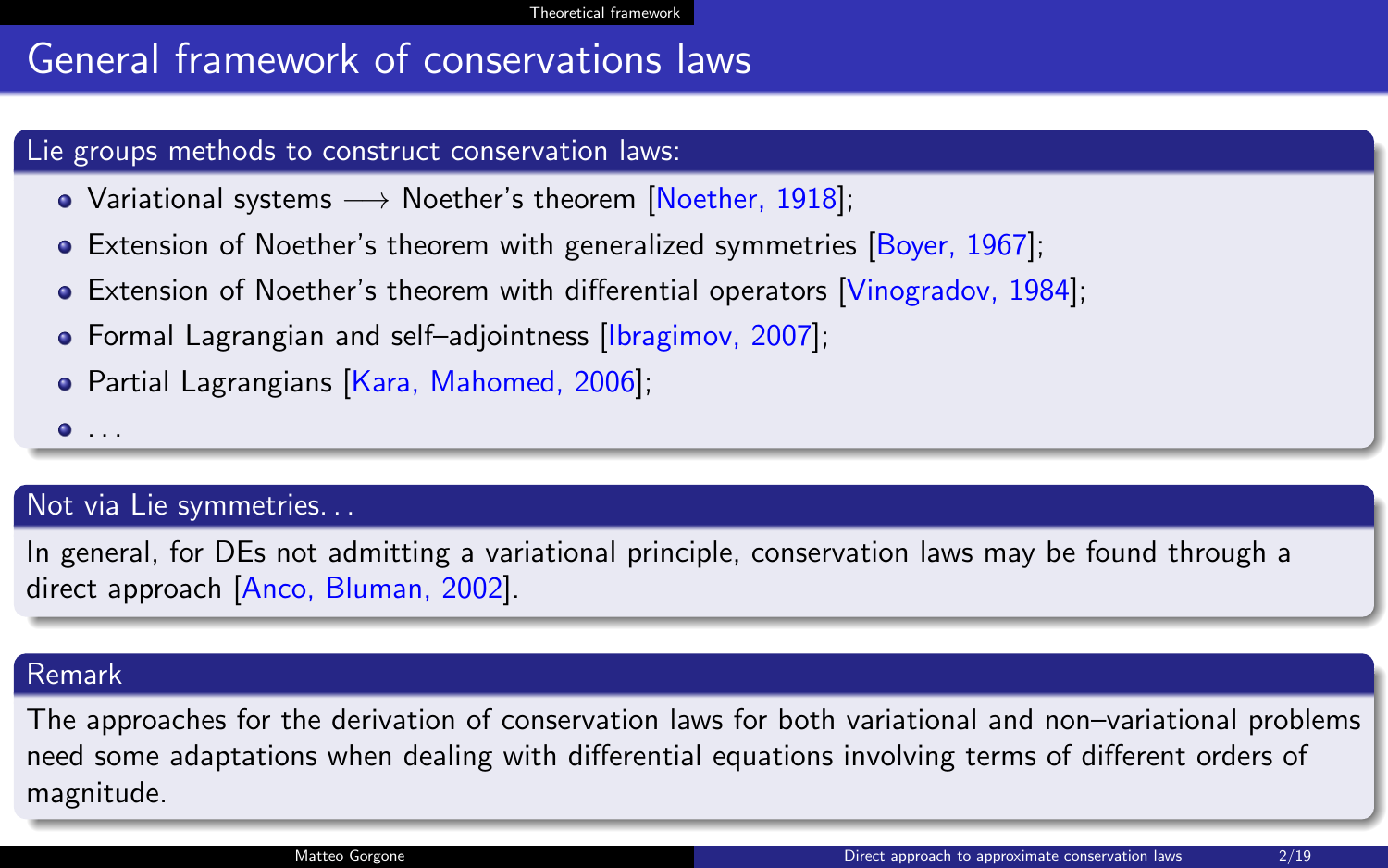# <span id="page-1-0"></span>General framework of conservations laws

#### Lie groups methods to construct conservation laws:

- Variational systems  $\longrightarrow$  Noether's theorem [Noether, 1918];
- **Extension of Noether's theorem with generalized symmetries [Boyer, 1967]:**
- Extension of Noether's theorem with differential operators [Vinogradov, 1984];
- Formal Lagrangian and self–adjointness *[Ibragimov, 2007]*;
- Partial Lagrangians [Kara, Mahomed, 2006];

 $\bullet$  ...

#### Not via Lie symmetries. . .

In general, for DEs not admitting a variational principle, conservation laws may be found through a direct approach [Anco, Bluman, 2002].

#### Remark

The approaches for the derivation of conservation laws for both variational and non–variational problems need some adaptations when dealing with differential equations involving terms of different orders of magnitude.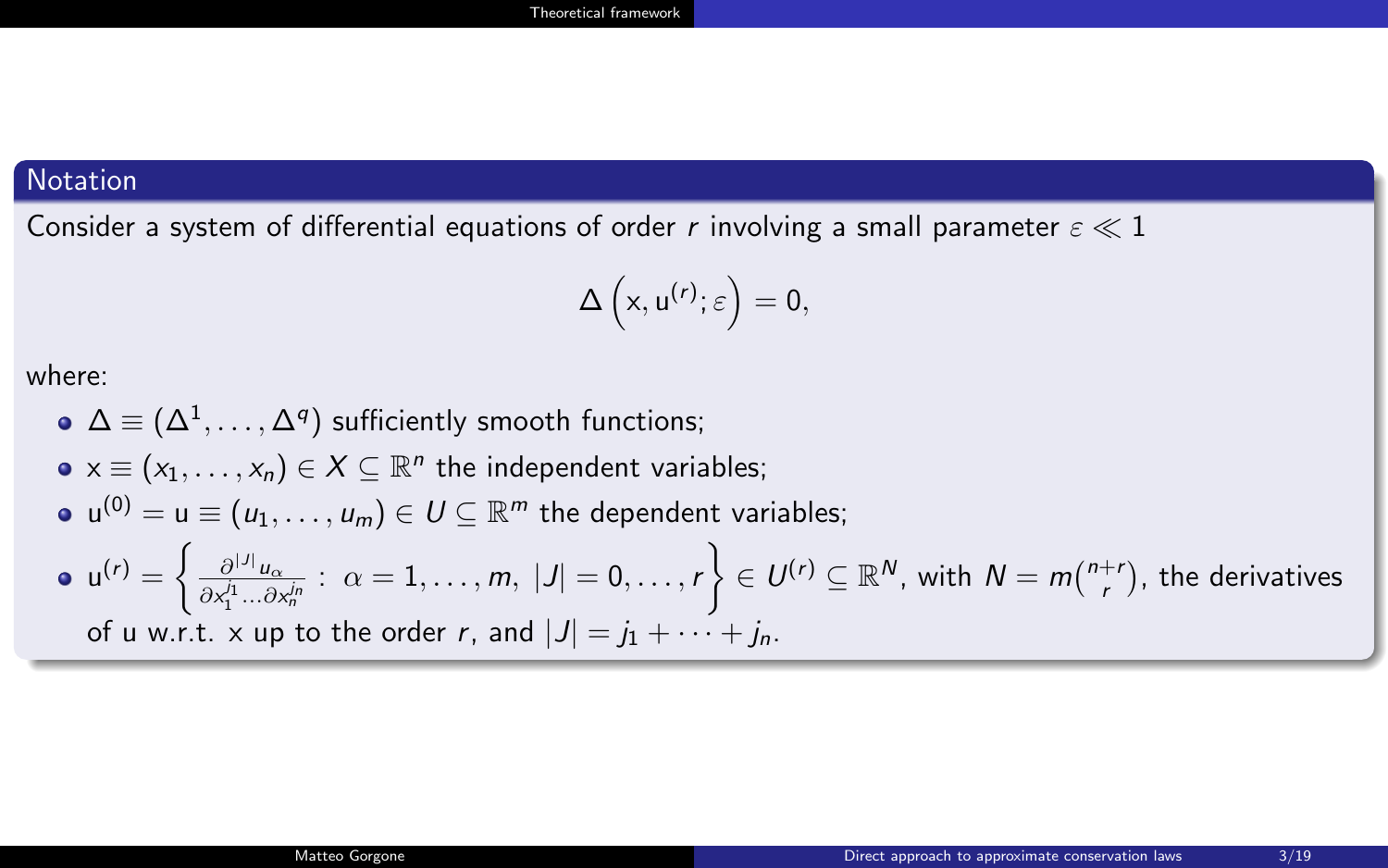### **Notation**

Consider a system of differential equations of order r involving a small parameter  $\varepsilon \ll 1$ 

$$
\Delta\left( x, u^{(r)}; \varepsilon\right) = 0,
$$

where:

\n- \n
$$
\Delta \equiv (\Delta^1, \ldots, \Delta^q)
$$
 sufficiently smooth functions;\n
\n- \n $x \equiv (x_1, \ldots, x_n) \in X \subseteq \mathbb{R}^n$  the independent variables;\n
\n- \n $u^{(0)} = u \equiv (u_1, \ldots, u_m) \in U \subseteq \mathbb{R}^m$  the dependent variables;\n
\n- \n $u^{(r)} = \left\{ \frac{\partial^{|J|} u_{\alpha}}{\partial x_1^{j_1} \ldots \partial x_n^{j_n}} \colon \alpha = 1, \ldots, m, |J| = 0, \ldots, r \right\} \in U^{(r)} \subseteq \mathbb{R}^N$ , with  $N = m \binom{n+r}{r}$ , the derivatives of  $u$  w.r.t.  $x$  up to the order  $r$ , and  $|J| = j_1 + \cdots + j_n$ .\n
\n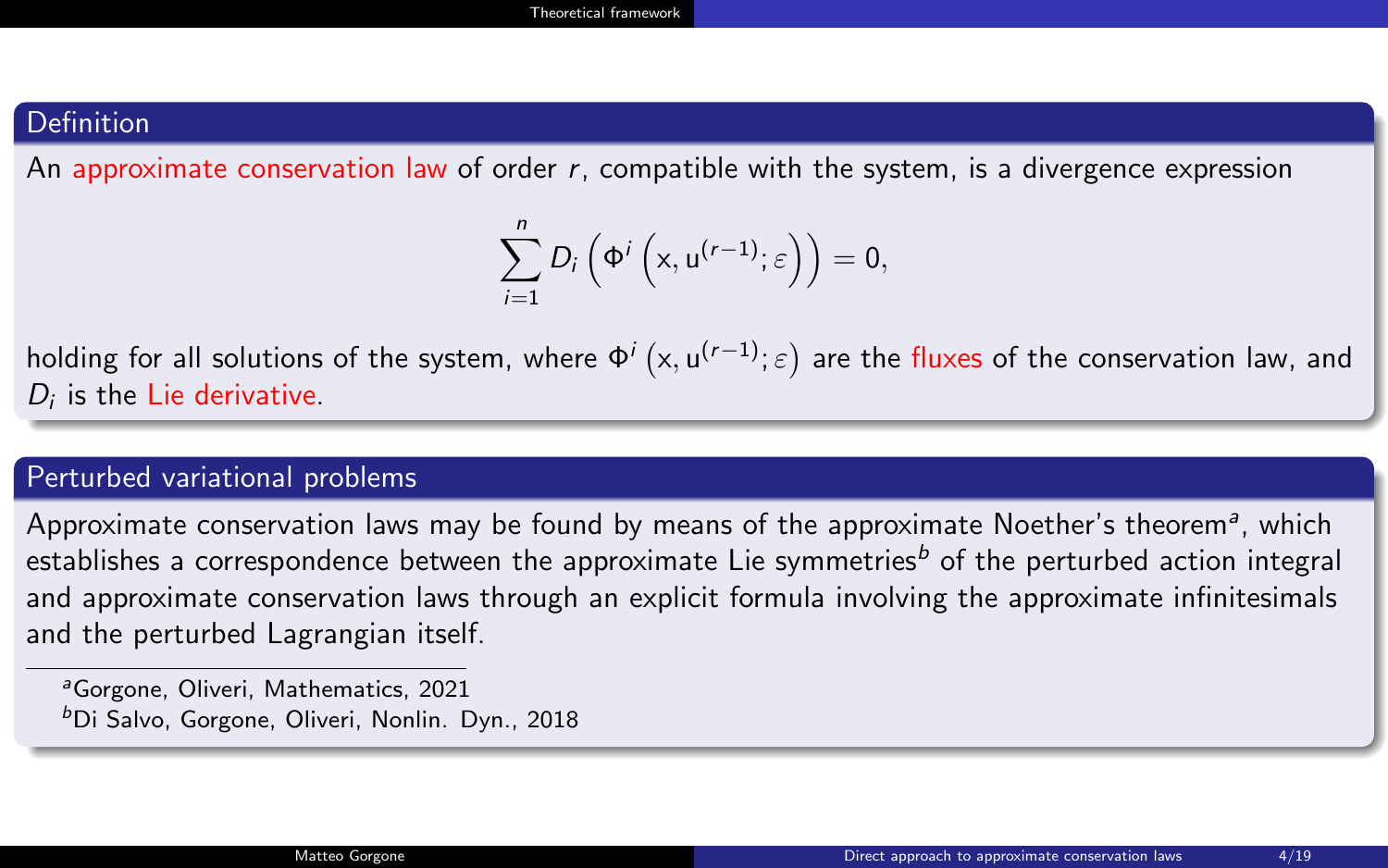#### **Definition**

An approximate conservation law of order  $r$ , compatible with the system, is a divergence expression

$$
\sum_{i=1}^n D_i\left(\Phi^i\left(x, u^{(r-1)}; \varepsilon\right)\right) = 0,
$$

holding for all solutions of the system, where  $\Phi^i\left(x,u^{(r-1)};\varepsilon\right)$  are the fluxes of the conservation law, and  $D_i$  is the Lie derivative.

#### Perturbed variational problems

Approximate conservation laws may be found by means of the approximate Noether's theorem<sup>a</sup>, which establishes a correspondence between the approximate Lie symmetries<sup>b</sup> of the perturbed action integral and approximate conservation laws through an explicit formula involving the approximate infinitesimals and the perturbed Lagrangian itself.

<sup>&</sup>lt;sup>a</sup>Gorgone, Oliveri, Mathematics, 2021 <sup>b</sup>Di Salvo, Gorgone, Oliveri, Nonlin. Dyn., 2018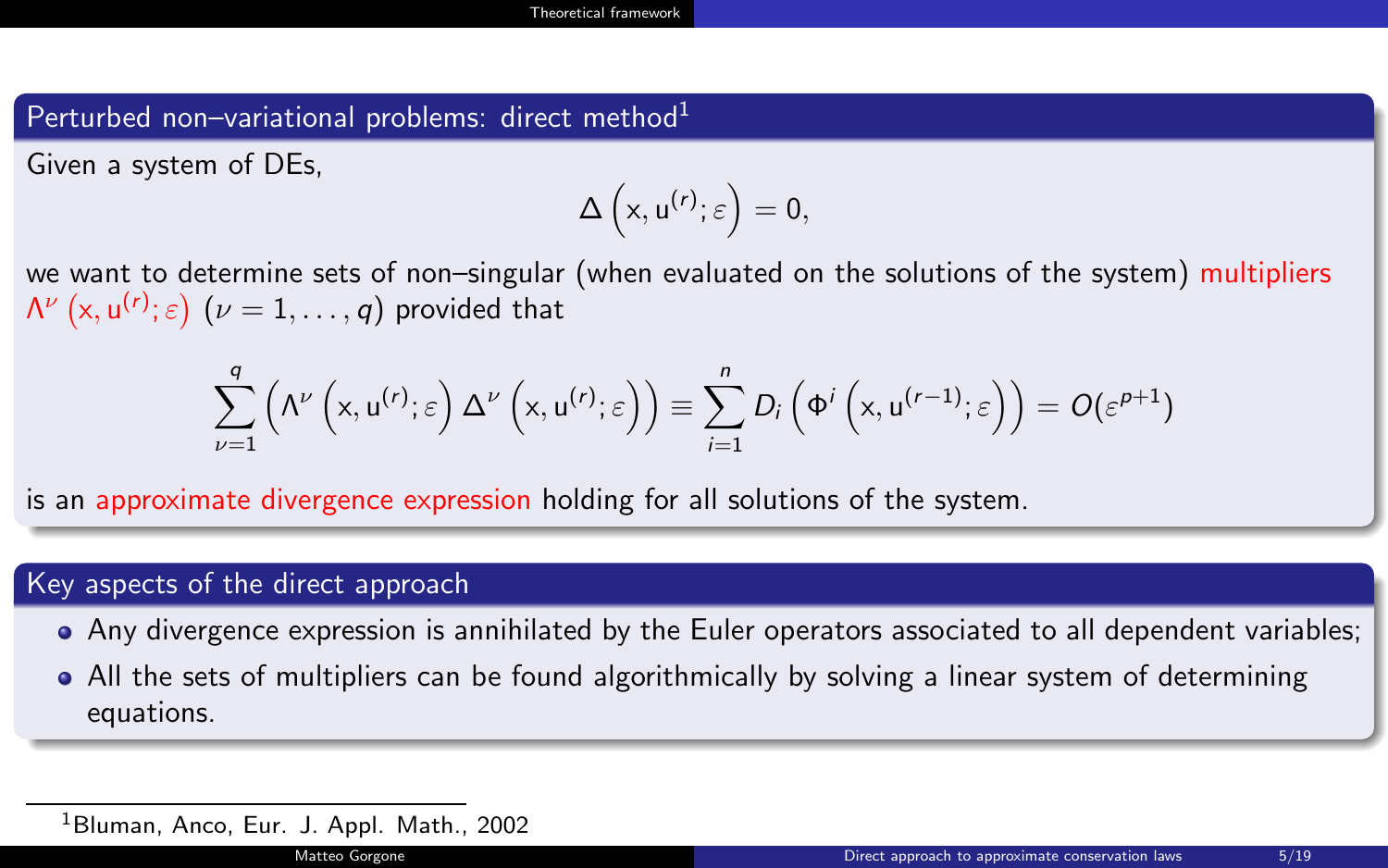#### Perturbed non–variational problems: direct method $1$

Given a system of DEs,

$$
\Delta\left(x,u^{(r)};\varepsilon\right)=0,
$$

we want to determine sets of non–singular (when evaluated on the solutions of the system) multipliers  $\mathsf{\Lambda}^{\nu}\left( \mathsf{x},\mathsf{u}^{(r)};\varepsilon\right)$   $(\nu=1,\ldots,q)$  provided that

$$
\sum_{\nu=1}^{q} \left( \Lambda^{\nu}\left(x, u^{(r)}; \varepsilon\right) \Delta^{\nu}\left(x, u^{(r)}; \varepsilon\right) \right) \equiv \sum_{i=1}^{n} D_{i}\left(\Phi^{i}\left(x, u^{(r-1)}; \varepsilon\right)\right) = O(\varepsilon^{p+1})
$$

is an approximate divergence expression holding for all solutions of the system.

#### Key aspects of the direct approach

- Any divergence expression is annihilated by the Euler operators associated to all dependent variables;
- All the sets of multipliers can be found algorithmically by solving a linear system of determining equations.

<sup>1</sup>Bluman, Anco, Eur. J. Appl. Math., 2002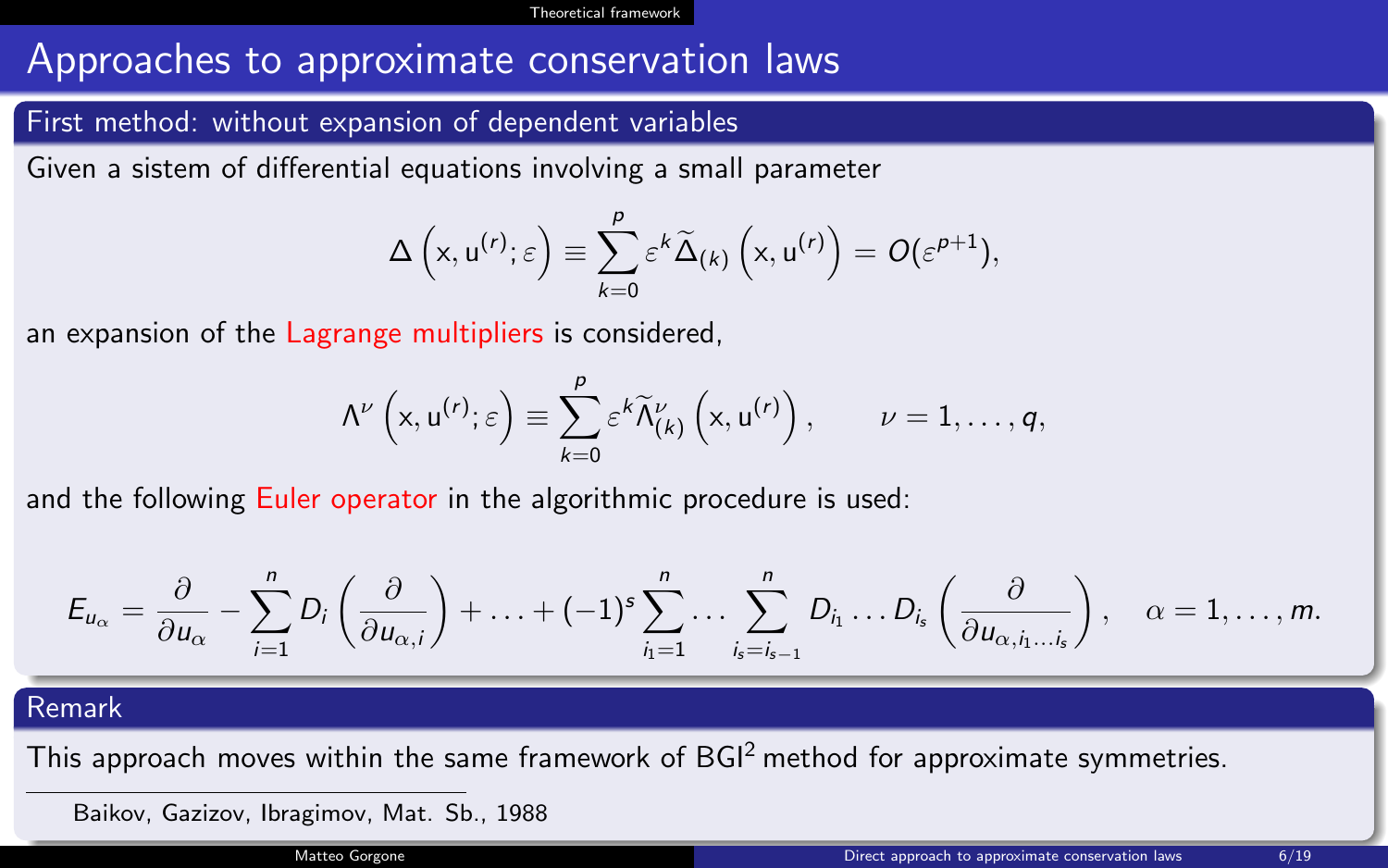## Approaches to approximate conservation laws

#### First method: without expansion of dependent variables

Given a sistem of differential equations involving a small parameter

$$
\Delta\left(x, u^{(r)}; \varepsilon\right) \equiv \sum_{k=0}^p \varepsilon^k \widetilde{\Delta}_{(k)}\left(x, u^{(r)}\right) = O(\varepsilon^{p+1}),
$$

an expansion of the Lagrange multipliers is considered,

$$
\Lambda^{\nu}\left(x, u^{(r)}; \varepsilon\right) \equiv \sum_{k=0}^{p} \varepsilon^{k} \widetilde{\Lambda}^{\nu}_{(k)}\left(x, u^{(r)}\right), \qquad \nu = 1, \ldots, q,
$$

and the following Euler operator in the algorithmic procedure is used:

$$
E_{u_{\alpha}} = \frac{\partial}{\partial u_{\alpha}} - \sum_{i=1}^{n} D_i \left( \frac{\partial}{\partial u_{\alpha,i}} \right) + \ldots + (-1)^s \sum_{i_1=1}^{n} \ldots \sum_{i_s=i_{s-1}}^{n} D_{i_1} \ldots D_{i_s} \left( \frac{\partial}{\partial u_{\alpha,i_1\ldots i_s}} \right), \quad \alpha = 1, \ldots, m.
$$

#### Remark

This approach moves within the same framework of  $BGI<sup>2</sup>$  method for approximate symmetries.

Baikov, Gazizov, Ibragimov, Mat. Sb., 1988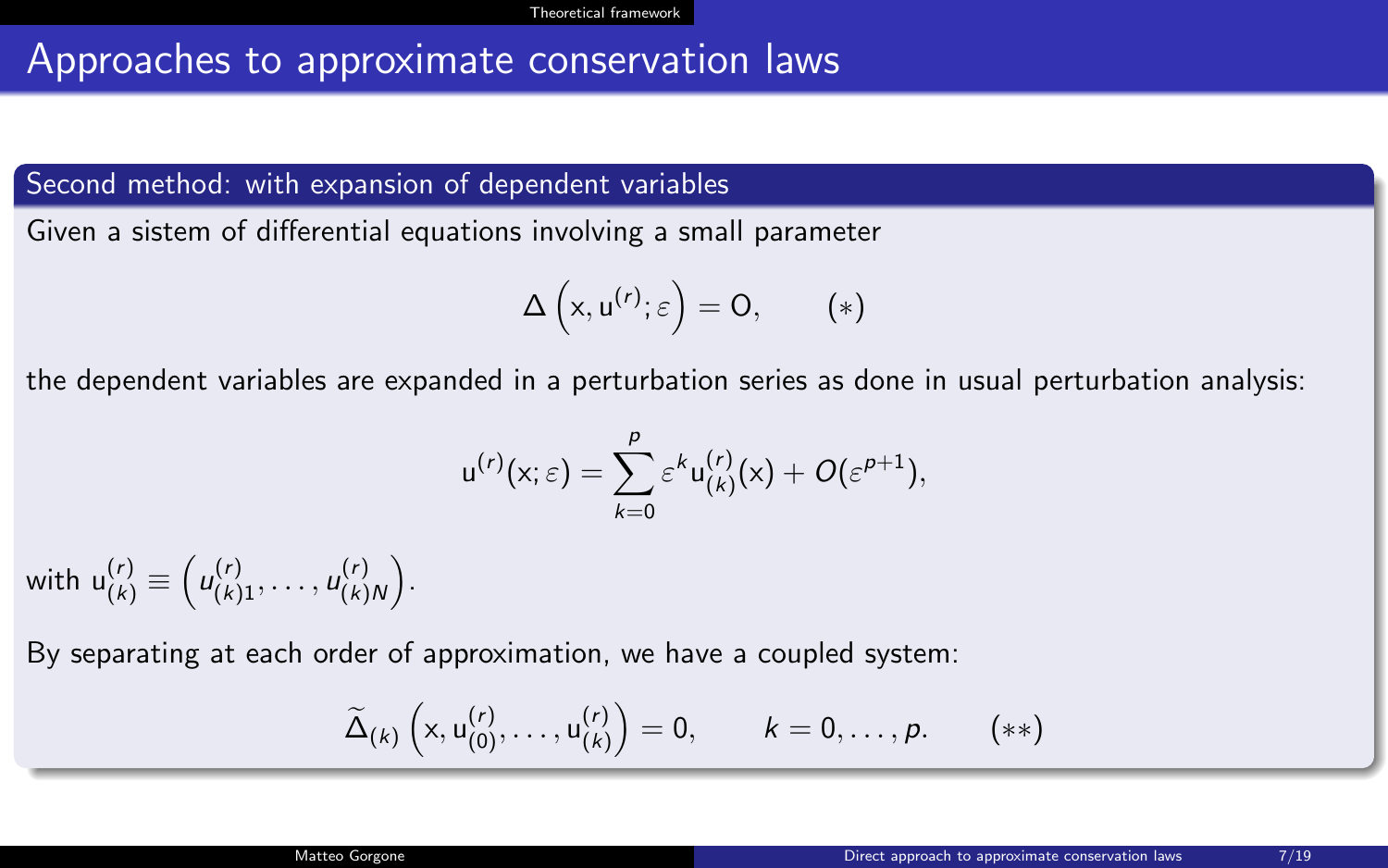## Approaches to approximate conservation laws

Second method: with expansion of dependent variables

Given a sistem of differential equations involving a small parameter

$$
\Delta\left(x, u^{(r)}; \varepsilon\right) = 0, \qquad (*)
$$

the dependent variables are expanded in a perturbation series as done in usual perturbation analysis:

$$
u^{(r)}(x;\varepsilon)=\sum_{k=0}^p\varepsilon^ku^{(r)}_{(k)}(x)+O(\varepsilon^{p+1}),
$$

with  $u_{(k)}^{(r)} \equiv (u_{(k)1}^{(r)}, \ldots, u_{(k)}^{(r)})$  $\binom{(r)}{(k)N}$ .

By separating at each order of approximation, we have a coupled system:

$$
\widetilde{\Delta}_{(k)}\left(\mathsf{x},\mathsf{u}_{(0)}^{(r)},\ldots,\mathsf{u}_{(k)}^{(r)}\right)=0,\qquad k=0,\ldots,p.\qquad(**)
$$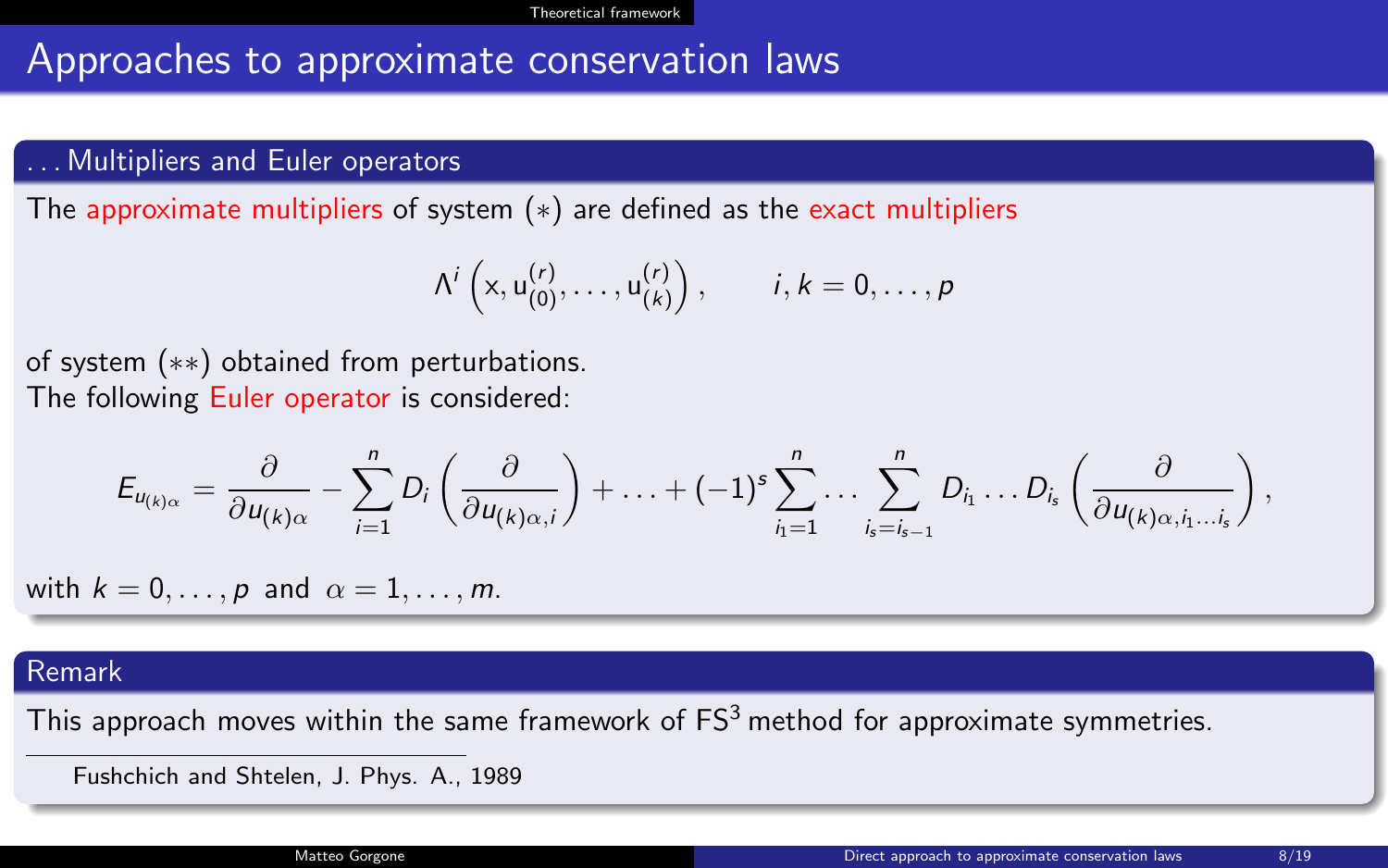## Approaches to approximate conservation laws

#### Multipliers and Euler operators

The approximate multipliers of system  $(*)$  are defined as the exact multipliers

$$
\Lambda^{i}\left(x, u_{(0)}^{(r)}, \ldots, u_{(k)}^{(r)}\right), \qquad i,k = 0,\ldots,p
$$

of system (∗∗) obtained from perturbations. The following Euler operator is considered:

$$
E_{u_{(k)\alpha}} = \frac{\partial}{\partial u_{(k)\alpha}} - \sum_{i=1}^n D_i \left( \frac{\partial}{\partial u_{(k)\alpha,i}} \right) + \ldots + (-1)^s \sum_{i_1=1}^n \ldots \sum_{i_s=i_{s-1}}^n D_{i_1} \ldots D_{i_s} \left( \frac{\partial}{\partial u_{(k)\alpha,i_1\ldots i_s}} \right),
$$

with  $k = 0, \ldots, p$  and  $\alpha = 1, \ldots, m$ .

#### Remark

This approach moves within the same framework of  $FS^3$  method for approximate symmetries.

Fushchich and Shtelen, J. Phys. A., 1989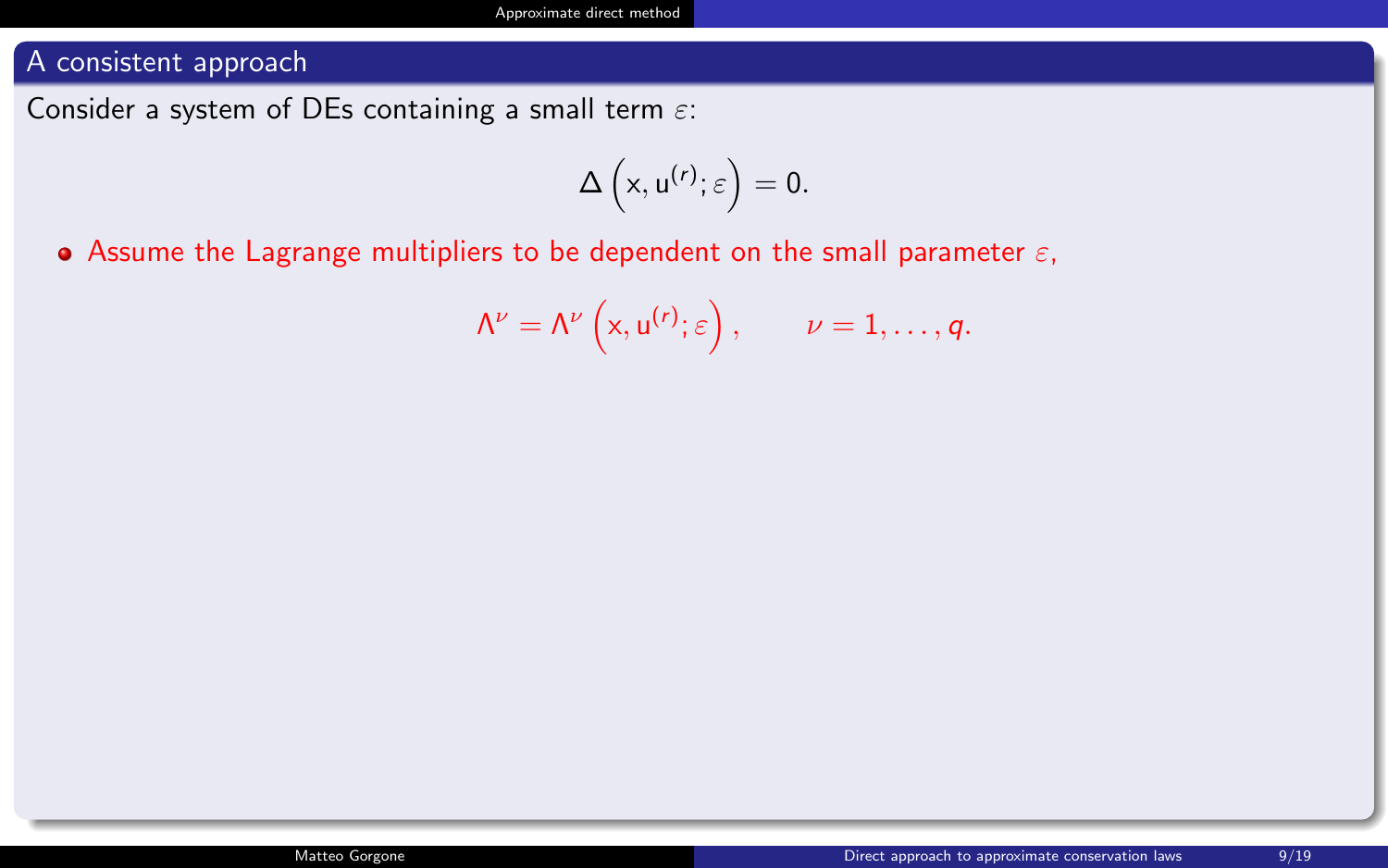<span id="page-8-0"></span>Consider a system of DEs containing a small term  $\varepsilon$ :

$$
\Delta\left(x,u^{(r)};\varepsilon\right)=0.
$$

• Assume the Lagrange multipliers to be dependent on the small parameter  $\varepsilon$ ,

$$
\Lambda^{\nu} = \Lambda^{\nu}\left(x, u^{(r)}; \varepsilon\right), \qquad \nu = 1, \ldots, q.
$$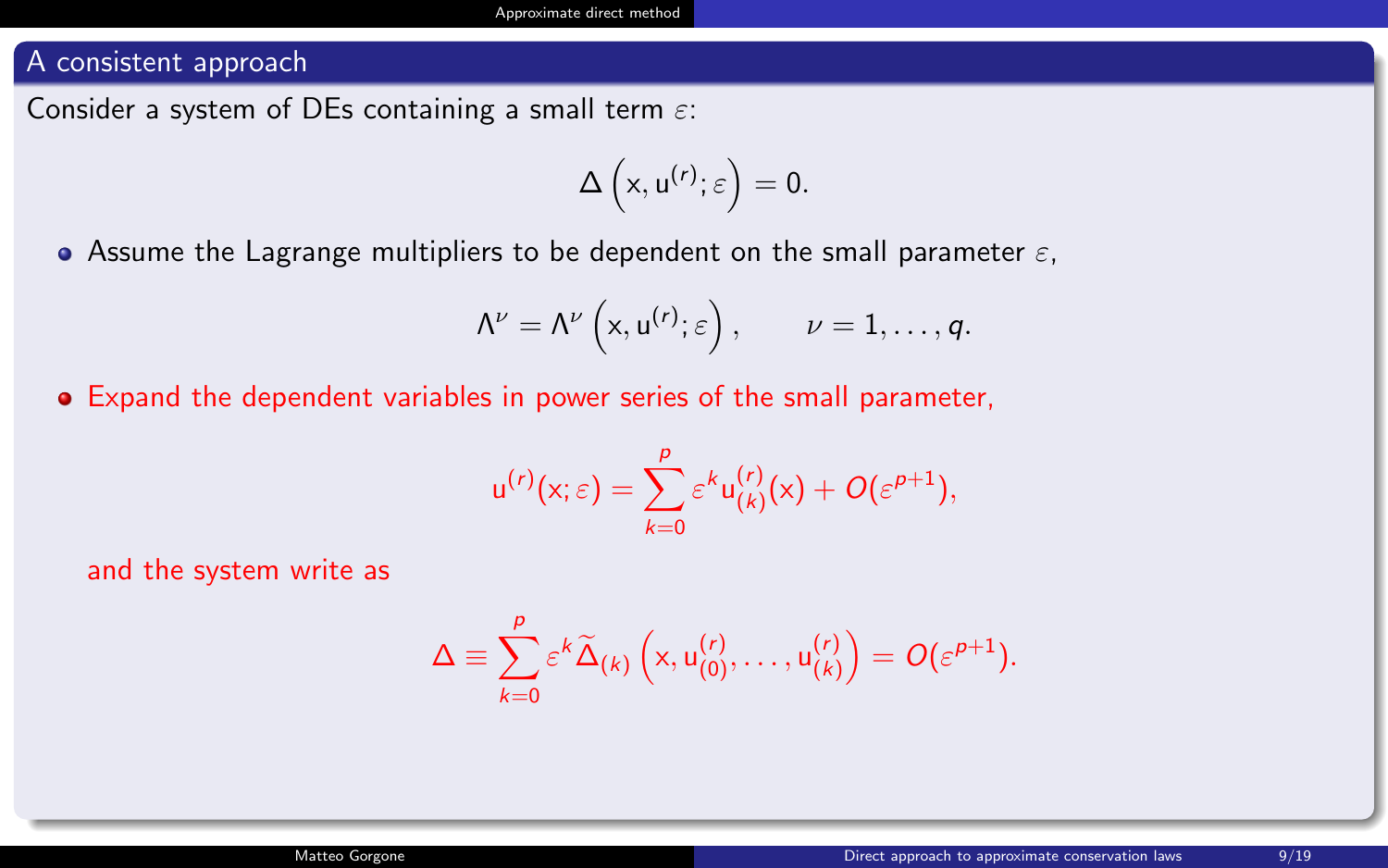Consider a system of DEs containing a small term  $\varepsilon$ :

$$
\Delta\left(x,u^{(r)};\varepsilon\right)=0.
$$

• Assume the Lagrange multipliers to be dependent on the small parameter  $\varepsilon$ ,

$$
\Lambda^{\nu} = \Lambda^{\nu}\left(x, u^{(r)}; \varepsilon\right), \qquad \nu = 1, \ldots, q.
$$

Expand the dependent variables in power series of the small parameter,

$$
u^{(r)}(x;\varepsilon)=\sum_{k=0}^p\varepsilon^ku_{(k)}^{(r)}(x)+O(\varepsilon^{p+1}),
$$

and the system write as

$$
\Delta \equiv \sum_{k=0}^p \varepsilon^k \widetilde{\Delta}_{(k)} \left( x, u_{(0)}^{(r)}, \ldots, u_{(k)}^{(r)} \right) = O(\varepsilon^{p+1}).
$$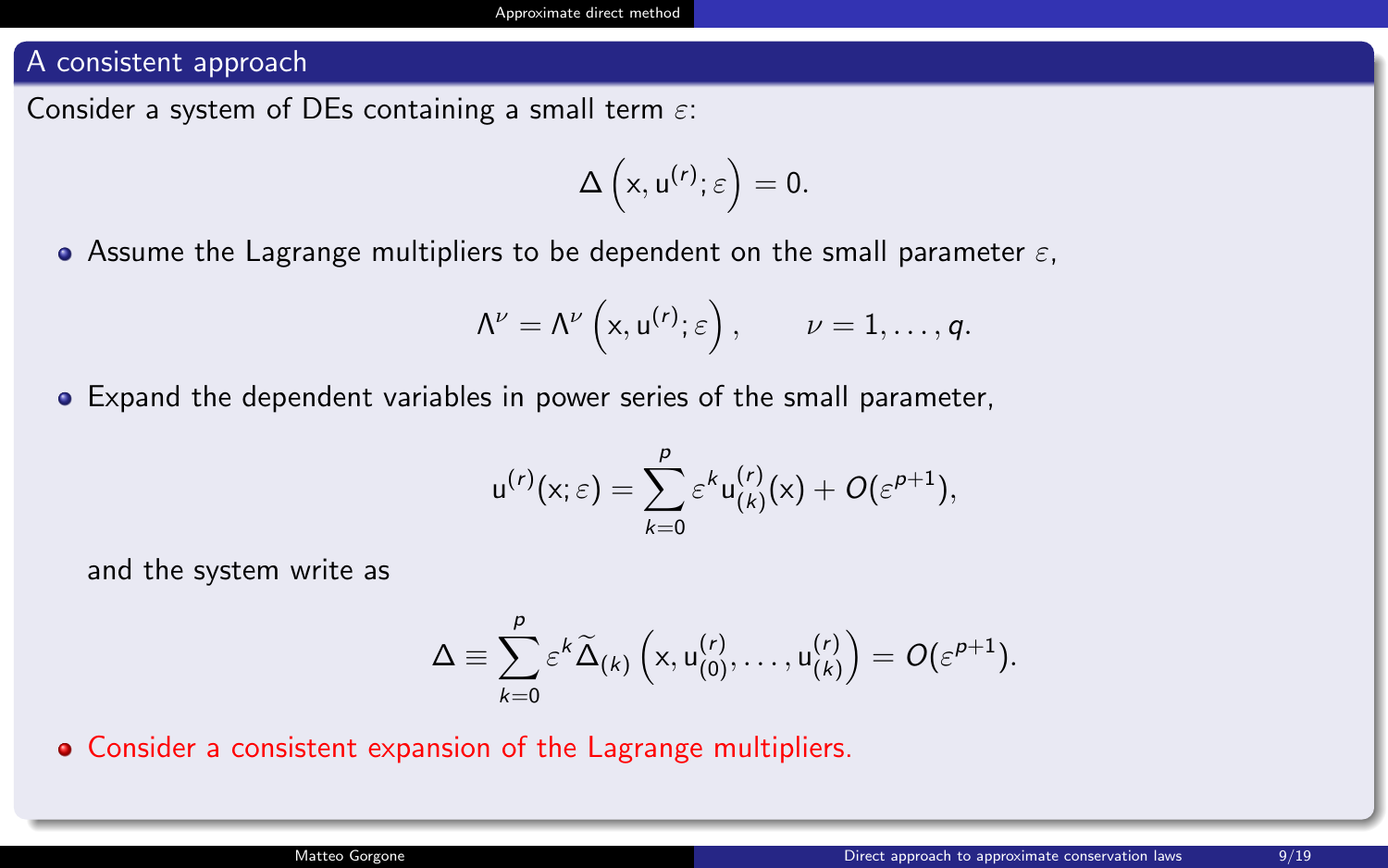Consider a system of DEs containing a small term  $\varepsilon$ :

$$
\Delta\left(x,u^{(r)};\varepsilon\right)=0.
$$

Assume the Lagrange multipliers to be dependent on the small parameter  $\varepsilon$ .

$$
\Lambda^{\nu} = \Lambda^{\nu}\left(x, u^{(r)}; \varepsilon\right), \qquad \nu = 1, \ldots, q.
$$

Expand the dependent variables in power series of the small parameter,

$$
u^{(r)}(x;\varepsilon)=\sum_{k=0}^p\varepsilon^ku_{(k)}^{(r)}(x)+O(\varepsilon^{p+1}),
$$

and the system write as

$$
\Delta \equiv \sum_{k=0}^p \varepsilon^k \widetilde{\Delta}_{(k)} \left( x, u_{(0)}^{(r)}, \ldots, u_{(k)}^{(r)} \right) = O(\varepsilon^{p+1}).
$$

Consider a consistent expansion of the Lagrange multipliers.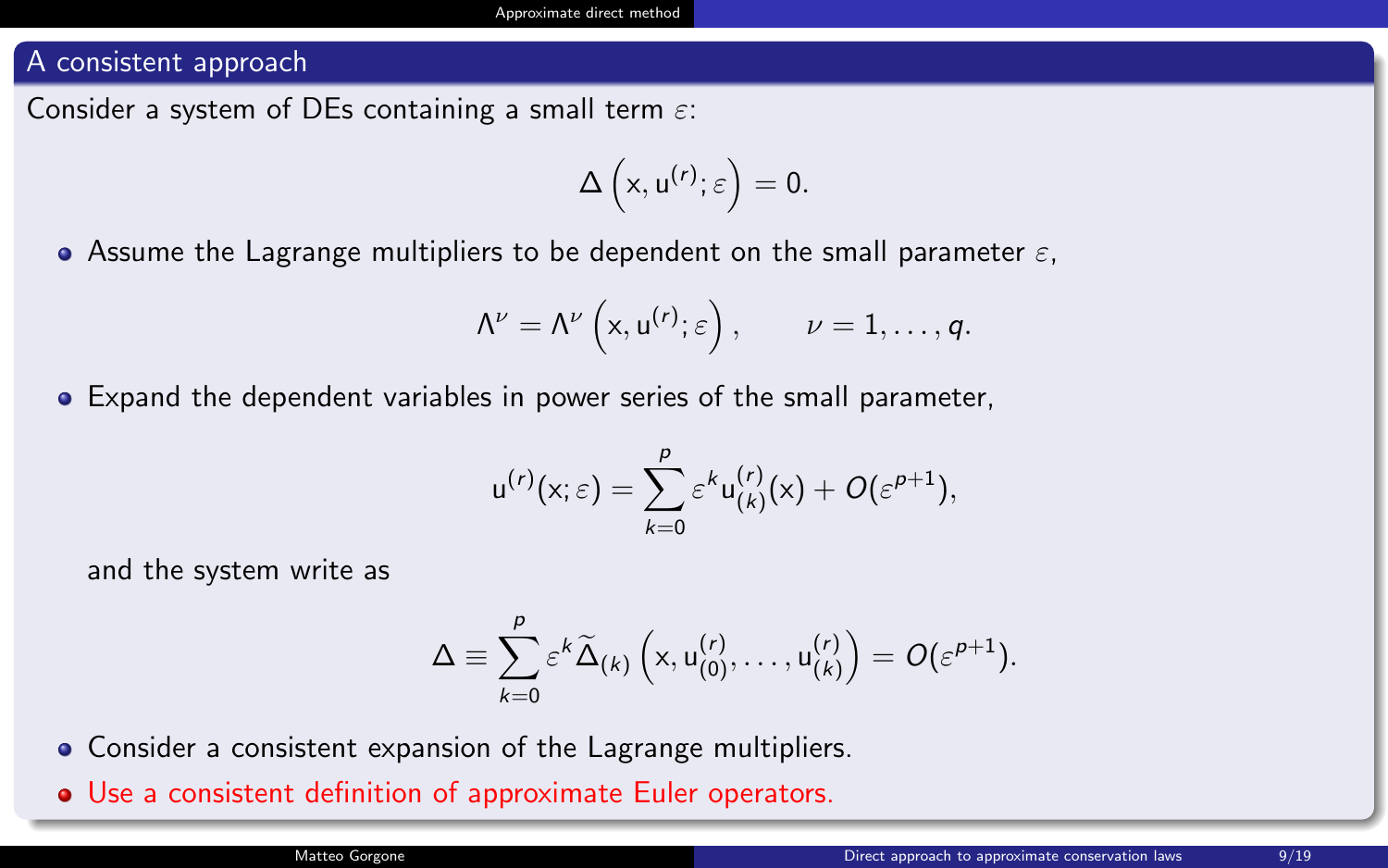Consider a system of DEs containing a small term  $\varepsilon$ :

$$
\Delta\left(x,u^{(r)};\varepsilon\right)=0.
$$

Assume the Lagrange multipliers to be dependent on the small parameter  $\varepsilon$ .

$$
\Lambda^{\nu} = \Lambda^{\nu}\left(x, u^{(r)}; \varepsilon\right), \qquad \nu = 1, \ldots, q.
$$

Expand the dependent variables in power series of the small parameter,

$$
u^{(r)}(x;\varepsilon)=\sum_{k=0}^p\varepsilon^ku_{(k)}^{(r)}(x)+O(\varepsilon^{p+1}),
$$

and the system write as

$$
\Delta \equiv \sum_{k=0}^p \varepsilon^k \widetilde{\Delta}_{(k)} \left( x, u_{(0)}^{(r)}, \ldots, u_{(k)}^{(r)} \right) = O(\varepsilon^{p+1}).
$$

Consider a consistent expansion of the Lagrange multipliers.

Use a consistent definition of approximate Euler operators.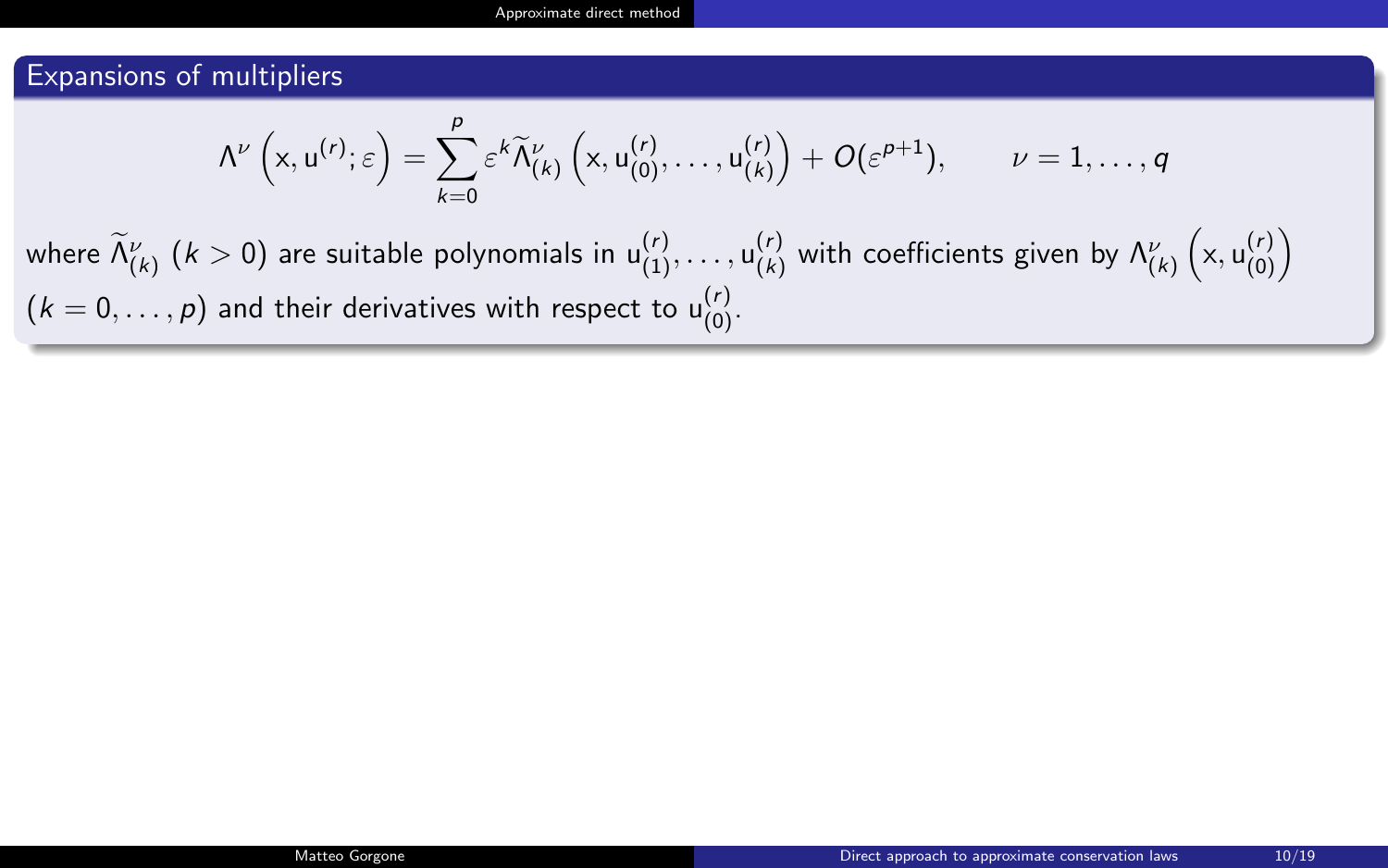#### Expansions of multipliers

$$
\Lambda^\nu\left(x,u^{(r)};\varepsilon\right)=\sum_{k=0}^{\rho}\varepsilon^k\widetilde{\Lambda}^\nu_{(k)}\left(x,u^{(r)}_{(0)},\ldots,u^{(r)}_{(k)}\right)+O(\varepsilon^{p+1}),\qquad \nu=1,\ldots,q
$$

where  $\widetilde{\Lambda}_{(k)}^\nu$   $(k>0)$  are suitable polynomials in  $\mathsf{u}_{(1)}^{(r)},\ldots,\mathsf{u}_{(k)}^{(r)}$  with coefficients given by  $\Lambda_{(k)}^\nu\left(\mathsf{x},\mathsf{u}_{(0)}^{(r)}\right)$  $(k=0,\ldots,p)$  and their derivatives with respect to  ${\sf u}_{(0)}^{(r)}$ .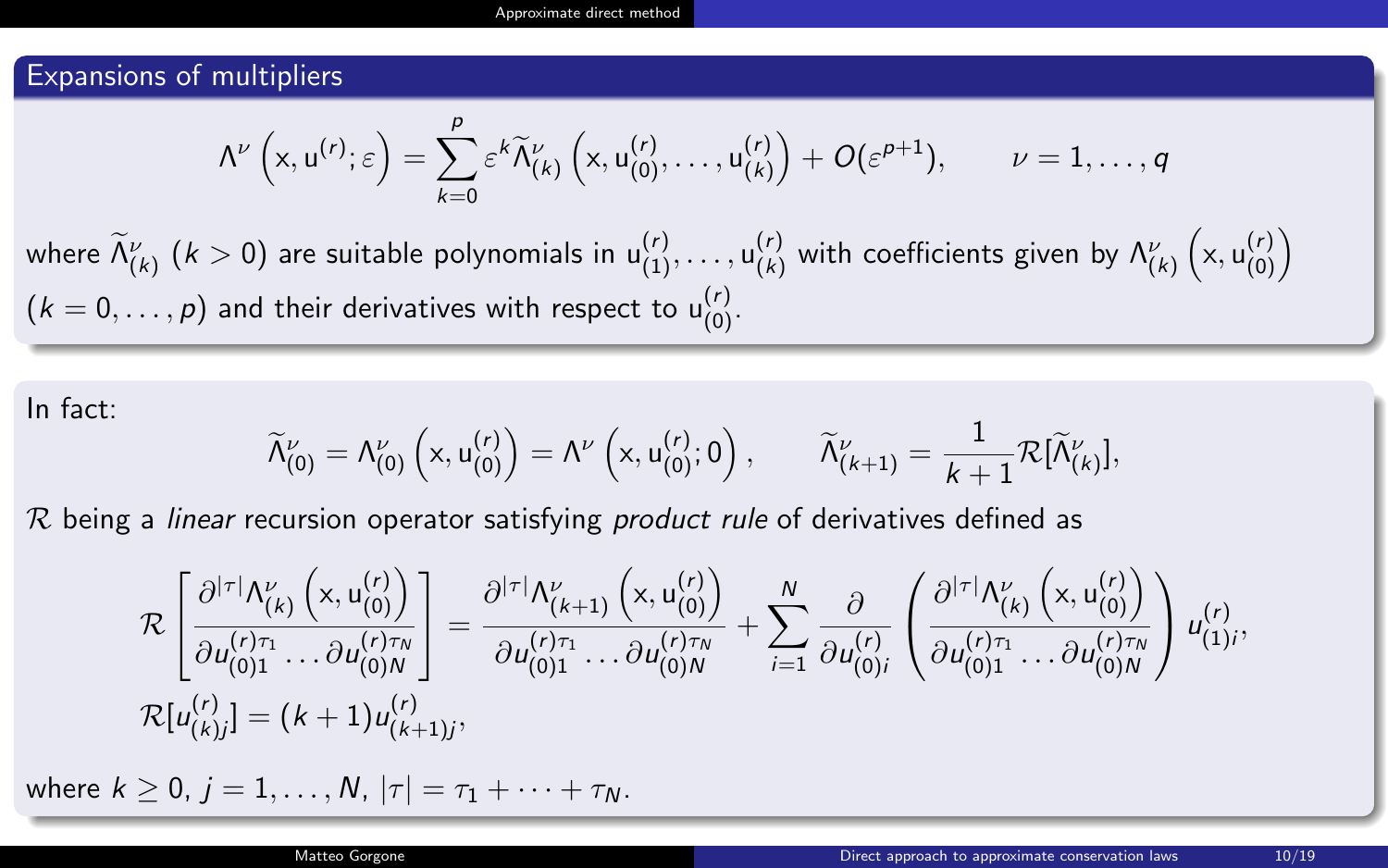#### Expansions of multipliers

$$
\Lambda^\nu\left(x,u^{(r)};\varepsilon\right)=\sum_{k=0}^\rho \varepsilon^k \widetilde{\Lambda}_{(k)}^\nu\left(x,u^{(r)}_{(0)},\ldots,u^{(r)}_{(k)}\right)+O(\varepsilon^{\rho+1}),\qquad \nu=1,\ldots,q
$$

where  $\widetilde{\Lambda}_{(k)}^\nu$   $(k>0)$  are suitable polynomials in  $\mathsf{u}_{(1)}^{(r)},\ldots,\mathsf{u}_{(k)}^{(r)}$  with coefficients given by  $\Lambda_{(k)}^\nu\left(\mathsf{x},\mathsf{u}_{(0)}^{(r)}\right)$  $(k=0,\ldots,p)$  and their derivatives with respect to  ${\sf u}_{(0)}^{(r)}$ .

In fact:

$$
\widetilde{\Lambda}^\nu_{(0)} = \Lambda^\nu_{(0)}\left(x,u^{(r)}_{(0)}\right) = \Lambda^\nu\left(x,u^{(r)}_{(0)};0\right), \qquad \widetilde{\Lambda}^\nu_{(k+1)} = \frac{1}{k+1}\mathcal{R}[\widetilde{\Lambda}^\nu_{(k)}],
$$

 $R$  being a linear recursion operator satisfying *product rule* of derivatives defined as

$$
\mathcal{R}\left[\frac{\partial^{|\tau|}\Lambda_{(k)}^{\nu}\left(x, u_{(0)}^{(r)}\right)}{\partial u_{(0)1}^{(r)\tau_1}\dots\partial u_{(0)N}^{(r)\tau_N}}\right] = \frac{\partial^{|\tau|}\Lambda_{(k+1)}^{\nu}\left(x, u_{(0)}^{(r)}\right)}{\partial u_{(0)1}^{(r)\tau_1}\dots\partial u_{(0)N}^{(r)\tau_N}} + \sum_{i=1}^{N} \frac{\partial}{\partial u_{(0)i}^{(r)}} \left(\frac{\partial^{|\tau|}\Lambda_{(k)}^{\nu}\left(x, u_{(0)}^{(r)}\right)}{\partial u_{(0)1}^{(r)\tau_1}\dots\partial u_{(0)N}^{(r)\tau_N}}\right) u_{(1)i}^{(r)},
$$
  

$$
\mathcal{R}[u_{(k)j}^{(r)}] = (k+1)u_{(k+1)j}^{(r)},
$$

where  $k \ge 0$ ,  $j = 1, ..., N$ ,  $|\tau| = \tau_1 + \cdots + \tau_N$ .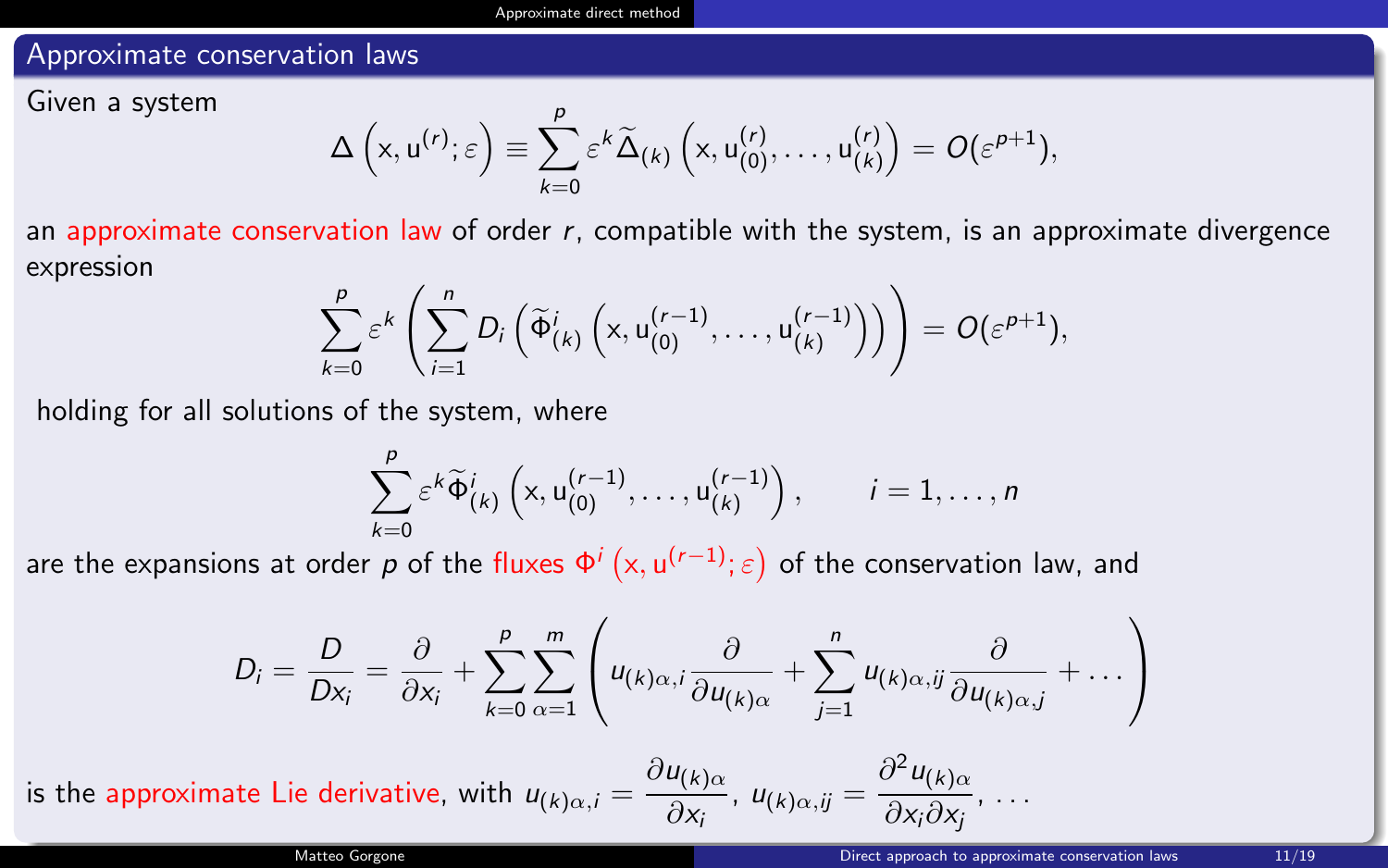#### Approximate conservation laws

Given a system

$$
\Delta\left(x,u^{(r)};\varepsilon\right)\equiv\sum_{k=0}^p\varepsilon^k\widetilde{\Delta}_{(k)}\left(x,u^{(r)}_{(0)},\ldots,u^{(r)}_{(k)}\right)=O(\varepsilon^{p+1}),
$$

an approximate conservation law of order  $r$ , compatible with the system, is an approximate divergence expression

$$
\sum_{k=0}^p \varepsilon^k \left( \sum_{i=1}^n D_i \left( \widetilde{\Phi}_{(k)}^i \left( x, u_{(0)}^{(r-1)}, \ldots, u_{(k)}^{(r-1)} \right) \right) \right) = O(\varepsilon^{p+1}),
$$

holding for all solutions of the system, where

$$
\sum_{k=0}^p \varepsilon^k \widetilde{\Phi}_{(k)}^i \left( x, u_{(0)}^{(r-1)}, \ldots, u_{(k)}^{(r-1)} \right), \qquad i=1,\ldots,n
$$

are the expansions at order  $p$  of the fluxes  $\Phi^i\left( x, u^{(r-1)};\varepsilon \right)$  of the conservation law, and

$$
D_i = \frac{D}{Dx_i} = \frac{\partial}{\partial x_i} + \sum_{k=0}^p \sum_{\alpha=1}^m \left( u_{(k)\alpha,i} \frac{\partial}{\partial u_{(k)\alpha}} + \sum_{j=1}^n u_{(k)\alpha,j} \frac{\partial}{\partial u_{(k)\alpha,j}} + \dots \right)
$$

is the approximate Lie derivative, with  $u_{(k)\alpha,i} = \frac{\partial u_{(k)\alpha}}{\partial x}$  $\frac{u_{(k)\alpha}}{\partial x_i}$ ,  $u_{(k)\alpha,ij} = \frac{\partial^2 u_{(k)\alpha}}{\partial x_i \partial x_j}$  $\frac{\partial \mathcal{L}(k) \alpha}{\partial x_i \partial x_j}, \ldots$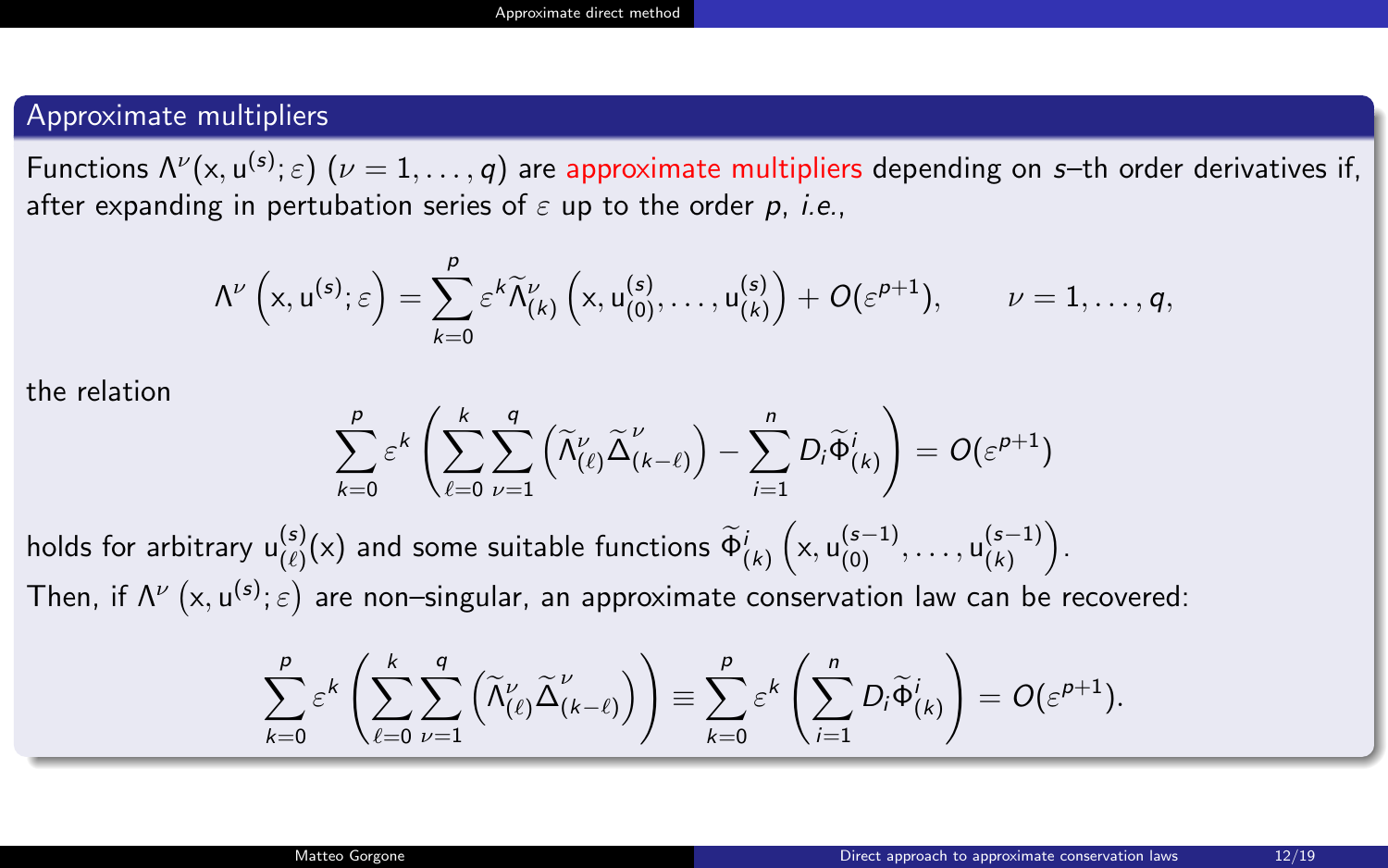#### Approximate multipliers

Functions  $\Lambda^\nu(x, u^{(s)}; \varepsilon)$   $(\nu = 1, \ldots, q)$  are approximate multipliers depending on s–th order derivatives if, after expanding in pertubation series of  $\varepsilon$  up to the order p, i.e.,

$$
\Lambda^\nu\left(x,u^{(s)};\varepsilon\right)=\sum_{k=0}^\rho \varepsilon^k \widetilde{\Lambda}_{(k)}^\nu\left(x,u^{(s)}_{(0)},\ldots,u^{(s)}_{(k)}\right)+O(\varepsilon^{\rho+1}),\qquad \nu=1,\ldots,q,
$$

the relation

$$
\sum_{k=0}^p \varepsilon^k \left( \sum_{\ell=0}^k \sum_{\nu=1}^q \left( \widetilde{\Lambda}_{(\ell)}^{\nu} \widetilde{\Delta}_{(k-\ell)}^{\nu} \right) - \sum_{i=1}^n D_i \widetilde{\Phi}_{(k)}^i \right) = O(\varepsilon^{p+1})
$$

holds for arbitrary  $u^{(s)}_{(\ell)}(x)$  and some suitable functions  $\widetilde{\Phi}^i_{(k)}\left(x,u^{(s-1)}_{(0)},\ldots,u^{(s-1)}_{(k)}\right)$  $\binom{(s-1)}{(k)}$ . Then, if  $\Lambda^{\nu}$   $(x, u^{(s)}; \varepsilon)$  are non–singular, an approximate conservation law can be recovered:

$$
\sum_{k=0}^p \varepsilon^k \left( \sum_{\ell=0}^k \sum_{\nu=1}^q \left( \widetilde{\Lambda}_{(\ell)}^{\nu} \widetilde{\Delta}_{(k-\ell)}^{\nu} \right) \right) \equiv \sum_{k=0}^p \varepsilon^k \left( \sum_{i=1}^n D_i \widetilde{\Phi}_{(k)}^i \right) = O(\varepsilon^{p+1}).
$$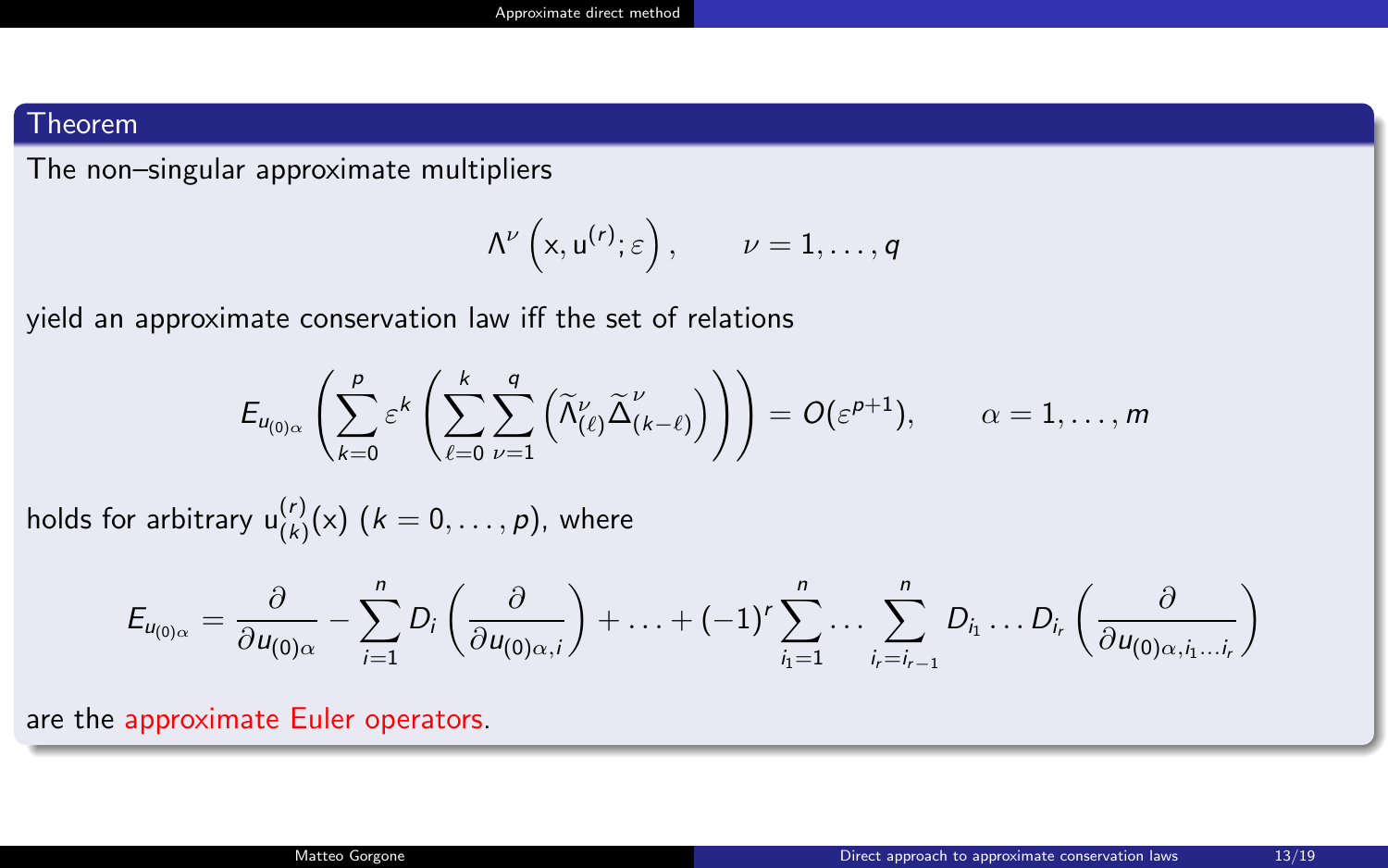#### Theorem

The non–singular approximate multipliers

$$
\Lambda^\nu\left(\mathsf{x},\mathsf{u}^{(r)};\varepsilon\right),\qquad \nu=1,\ldots,q
$$

yield an approximate conservation law iff the set of relations

$$
E_{u_{(0)\alpha}}\left(\sum_{k=0}^{\rho}\varepsilon^{k}\left(\sum_{\ell=0}^{k}\sum_{\nu=1}^{q}\left(\widetilde{\Lambda}_{(\ell)}^{\nu}\widetilde{\Delta}_{(k-\ell)}^{\nu}\right)\right)\right)=O(\varepsilon^{p+1}),\qquad\alpha=1,\ldots,m
$$

holds for arbitrary  $u^{(r)}_{(k)}(x)$   $(k = 0, \ldots, p)$ , where

$$
E_{u_{(0)\alpha}} = \frac{\partial}{\partial u_{(0)\alpha}} - \sum_{i=1}^n D_i \left( \frac{\partial}{\partial u_{(0)\alpha,i}} \right) + \ldots + (-1)^r \sum_{i_1=1}^n \ldots \sum_{i_r=i_{r-1}}^n D_{i_1} \ldots D_{i_r} \left( \frac{\partial}{\partial u_{(0)\alpha,i_1\ldots i_r}} \right)
$$

are the approximate Euler operators.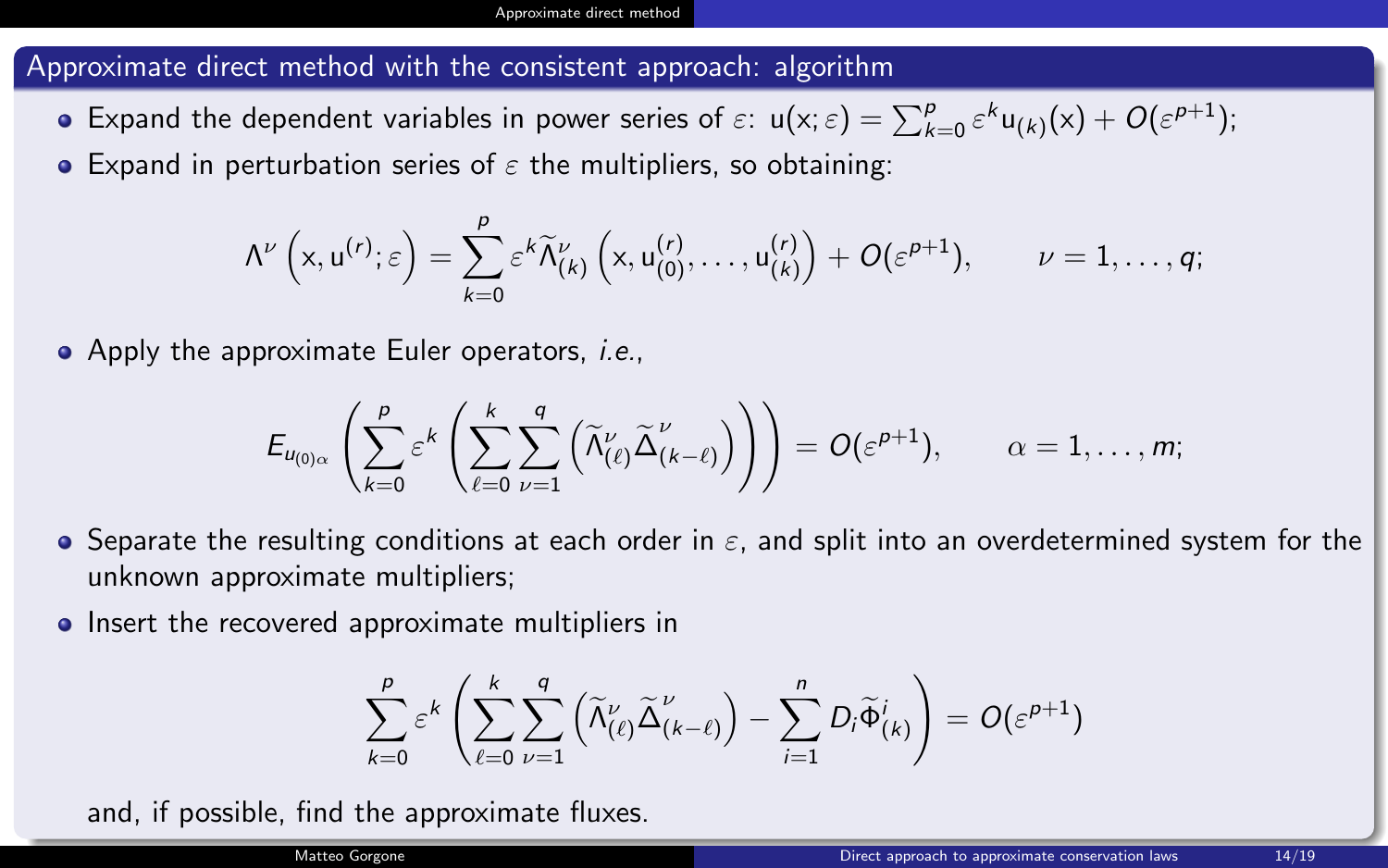#### Approximate direct method with the consistent approach: algorithm

- Expand the dependent variables in power series of  $\varepsilon$ :  $u(x;\varepsilon) = \sum_{k=0}^{p} \varepsilon^{k} u_{(k)}(x) + O(\varepsilon^{p+1});$
- **•** Expand in perturbation series of  $\varepsilon$  the multipliers, so obtaining:

$$
\Lambda^\nu\left(x,u^{(r)};\varepsilon\right)=\sum_{k=0}^\rho \varepsilon^k \widetilde{\Lambda}_{(k)}^\nu\left(x,u^{(r)}_{(0)},\ldots,u^{(r)}_{(k)}\right)+O(\varepsilon^{\rho+1}),\qquad \nu=1,\ldots,q;
$$

• Apply the approximate Euler operators, *i.e.*,

$$
E_{u_{(0)\alpha}}\left(\sum_{k=0}^{\rho}\varepsilon^{k}\left(\sum_{\ell=0}^{k}\sum_{\nu=1}^{q}\left(\widetilde{\Lambda}_{(\ell)}^{\nu}\widetilde{\Delta}_{(k-\ell)}^{\nu}\right)\right)\right)=O(\varepsilon^{p+1}),\qquad\alpha=1,\ldots,m;
$$

- **•** Separate the resulting conditions at each order in  $\varepsilon$ , and split into an overdetermined system for the unknown approximate multipliers;
- Insert the recovered approximate multipliers in

$$
\sum_{k=0}^p \varepsilon^k \left( \sum_{\ell=0}^k \sum_{\nu=1}^q \left( \widetilde{\Lambda}_{(\ell)}^{\nu} \widetilde{\Delta}_{(k-\ell)}^{\nu} \right) - \sum_{i=1}^n D_i \widetilde{\Phi}_{(k)}^i \right) = O(\varepsilon^{p+1})
$$

and, if possible, find the approximate fluxes.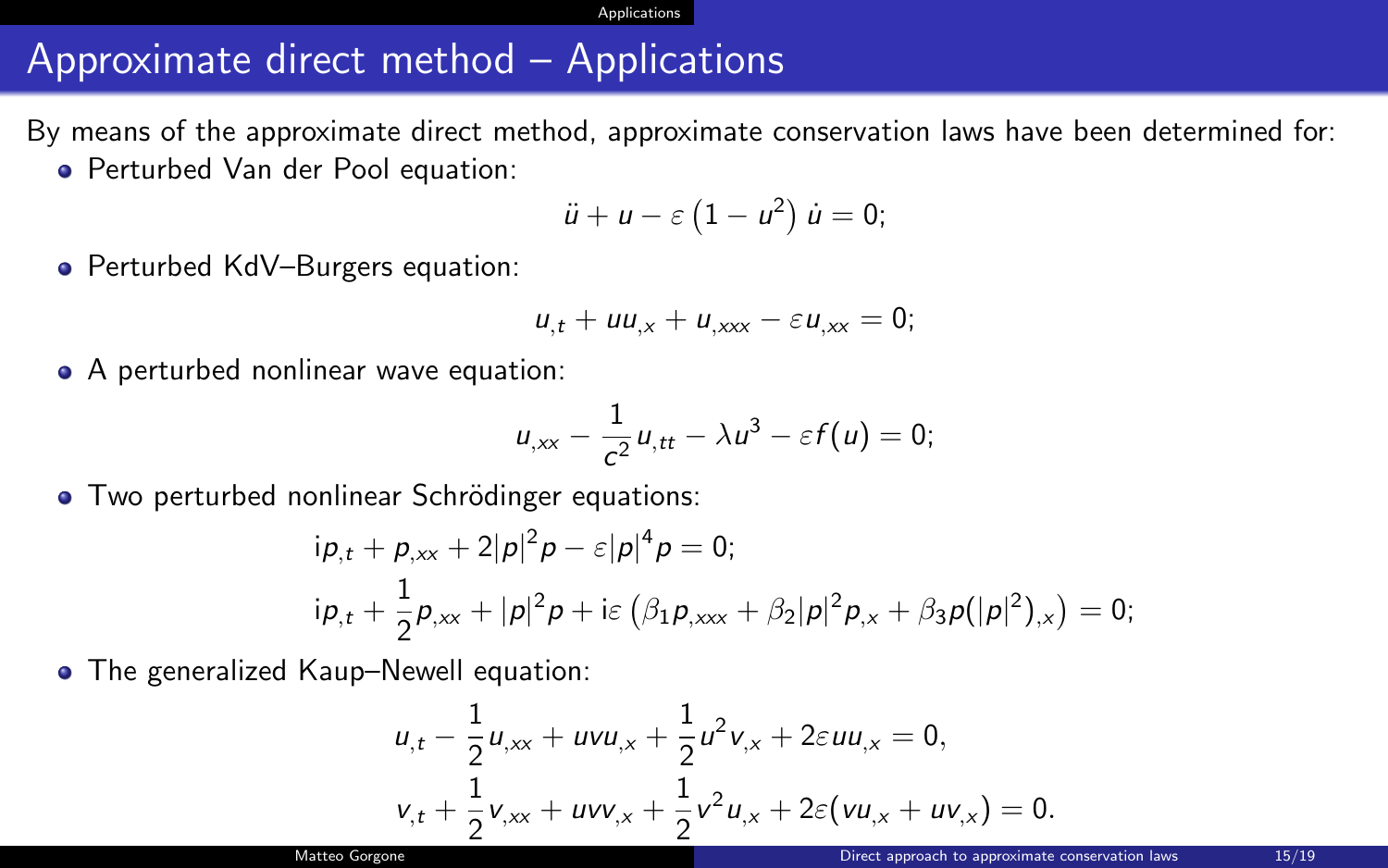## <span id="page-18-0"></span>Approximate direct method – Applications

By means of the approximate direct method, approximate conservation laws have been determined for:

Perturbed Van der Pool equation:

$$
\ddot{u}+u-\varepsilon\left(1-u^2\right)\dot{u}=0;
$$

● Perturbed KdV–Burgers equation:

$$
u_{,t} + uu_{,x} + u_{,xxx} - \varepsilon u_{,xx} = 0;
$$

• A perturbed nonlinear wave equation:

$$
u_{,xx}-\frac{1}{c^2}u_{,tt}-\lambda u^3-\varepsilon f(u)=0;
$$

• Two perturbed nonlinear Schrödinger equations:

$$
i\rho_{,t} + \rho_{,xx} + 2|\rho|^2 \rho - \varepsilon|\rho|^4 \rho = 0;
$$
  
\n
$$
i\rho_{,t} + \frac{1}{2}\rho_{,xx} + |\rho|^2 \rho + i\varepsilon \left(\beta_1 \rho_{,xxx} + \beta_2|\rho|^2 \rho_{,x} + \beta_3 \rho(|\rho|^2)_{,x}\right) = 0;
$$

**•** The generalized Kaup–Newell equation:

$$
u_{,t} - \frac{1}{2}u_{,xx} + uvu_{,x} + \frac{1}{2}u^2v_{,x} + 2\epsilon uu_{,x} = 0,
$$
  

$$
v_{,t} + \frac{1}{2}v_{,xx} + uvv_{,x} + \frac{1}{2}v^2u_{,x} + 2\epsilon(vu_{,x} + uv_{,x}) = 0.
$$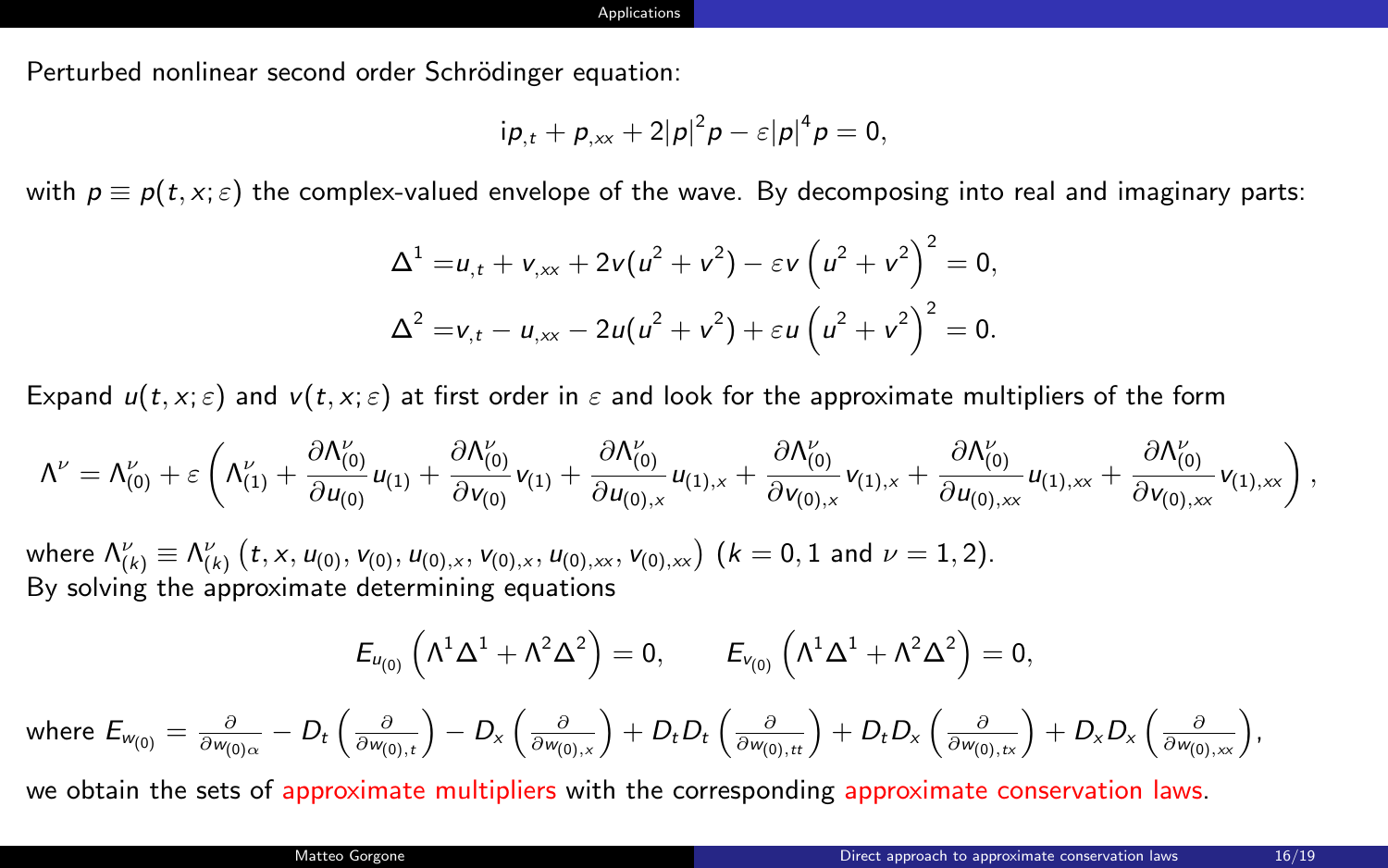Perturbed nonlinear second order Schrödinger equation:

$$
i p_{,t} + p_{,xx} + 2|p|^2 p - \varepsilon |p|^4 p = 0,
$$

with  $p \equiv p(t, x; \varepsilon)$  the complex-valued envelope of the wave. By decomposing into real and imaginary parts:

$$
\Delta^{1} = u_{,t} + v_{,xx} + 2v(u^{2} + v^{2}) - \varepsilon v (u^{2} + v^{2})^{2} = 0,
$$
  

$$
\Delta^{2} = v_{,t} - u_{,xx} - 2u(u^{2} + v^{2}) + \varepsilon u (u^{2} + v^{2})^{2} = 0.
$$

Expand  $u(t, x; \varepsilon)$  and  $v(t, x; \varepsilon)$  at first order in  $\varepsilon$  and look for the approximate multipliers of the form

$$
\Lambda^{\nu} = \Lambda^{\nu}_{(0)} + \varepsilon \left( \Lambda^{\nu}_{(1)} + \frac{\partial \Lambda^{\nu}_{(0)}}{\partial u_{(0)}} u_{(1)} + \frac{\partial \Lambda^{\nu}_{(0)}}{\partial v_{(0)}} v_{(1)} + \frac{\partial \Lambda^{\nu}_{(0)}}{\partial u_{(0),x}} u_{(1),x} + \frac{\partial \Lambda^{\nu}_{(0)}}{\partial v_{(0),x}} v_{(1),x} + \frac{\partial \Lambda^{\nu}_{(0)}}{\partial u_{(0),xx}} u_{(1),xx} + \frac{\partial \Lambda^{\nu}_{(0)}}{\partial v_{(0),xx}} v_{(1),xx} \right),
$$
\nwhere  $\Lambda^{\nu}_{(k)} \equiv \Lambda^{\nu}_{(k)}$   $(t, x, u_{(0)}, v_{(0)}, u_{(0),x}, v_{(0),x}, u_{(0),xx}, v_{(0),xx})$   $(k = 0, 1 \text{ and } \nu = 1, 2).$   
\nBy solving the approximate determining equations

$$
E_{u_{(0)}}\left(\Lambda^{1}\Delta^{1}+\Lambda^{2}\Delta^{2}\right)=0, \qquad E_{v_{(0)}}\left(\Lambda^{1}\Delta^{1}+\Lambda^{2}\Delta^{2}\right)=0,
$$
  
re  $E_{w_{(0)}} = \frac{\partial}{\partial w_{(0)\alpha}} - D_{t}\left(\frac{\partial}{\partial w_{(0),t}}\right) - D_{x}\left(\frac{\partial}{\partial w_{(0),x}}\right) + D_{t}D_{t}\left(\frac{\partial}{\partial w_{(0),tt}}\right) + D_{t}D_{x}\left(\frac{\partial}{\partial w_{(0),tx}}\right) + D_{x}D_{x}\left(\frac{\partial}{\partial w_{(0),xx}}\right),$ 

we obtain the sets of approximate multipliers with the corresponding approximate conservation laws.

whe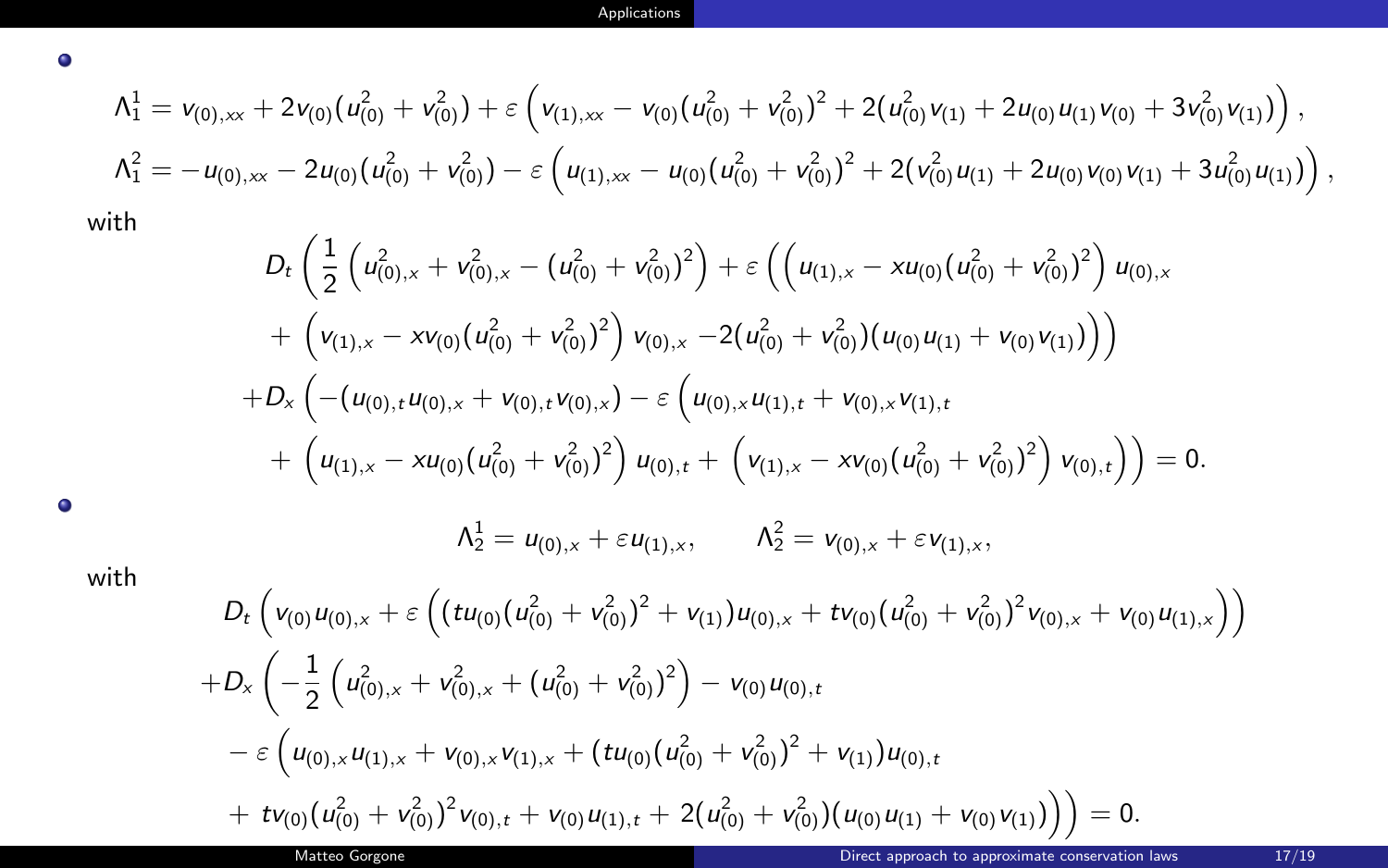$$
\begin{aligned}\n\Lambda_1^1 &= \nu_{(0),\infty} + 2\nu_{(0)}(u_{(0)}^2 + v_{(0)}^2) + \varepsilon \left( \nu_{(1),\infty} - \nu_{(0)}(u_{(0)}^2 + v_{(0)}^2)^2 + 2(u_{(0)}^2\nu_{(1)} + 2u_{(0)}u_{(1)}\nu_{(0)} + 3\nu_{(0)}^2\nu_{(1)}) \right), \\
\Lambda_1^2 &= -u_{(0),\infty} - 2u_{(0)}(u_{(0)}^2 + v_{(0)}^2) - \varepsilon \left( u_{(1),\infty} - u_{(0)}(u_{(0)}^2 + v_{(0)}^2)^2 + 2(v_{(0)}^2u_{(1)} + 2u_{(0)}\nu_{(0)}\nu_{(1)} + 3u_{(0)}^2u_{(1)}) \right),\n\end{aligned}
$$

with

 $\bullet$ 

$$
D_{t}\left(\frac{1}{2}\left(u_{(0),x}^{2}+v_{(0),x}^{2}-\left(u_{(0)}^{2}+v_{(0)}^{2}\right)^{2}\right)+\varepsilon\left(\left(u_{(1),x}-xu_{(0)}\left(u_{(0)}^{2}+v_{(0)}^{2}\right)^{2}\right)u_{(0),x}+\left(v_{(1),x}-xv_{(0)}\left(u_{(0)}^{2}+v_{(0)}^{2}\right)^{2}\right)v_{(0),x}-2\left(u_{(0)}^{2}+v_{(0)}^{2}\right)\left(u_{(0)}u_{(1)}+v_{(0)}v_{(1)}\right)\right)\right) +D_{x}\left(-\left(u_{(0),t}u_{(0),x}+v_{(0),t}v_{(0),x}\right)-\varepsilon\left(u_{(0),x}u_{(1),t}+v_{(0),x}v_{(1),t}+\left(u_{(1),x}-xu_{(0)}\left(u_{(0)}^{2}+v_{(0)}^{2}\right)^{2}\right)u_{(0),t}+\left(v_{(1),x}-xv_{(0)}\left(u_{(0)}^{2}+v_{(0)}^{2}\right)^{2}\right)v_{(0),t}\right)\right)=0.
$$

 $\bullet$ 

 $\Lambda_2^1 = u_{(0),x} + \varepsilon u_{(1),x}, \qquad \Lambda_2^2 = v_{(0),x} + \varepsilon v_{(1),x},$ 

with

$$
D_{t}\left(v_{(0)}u_{(0),x}+\varepsilon\left((tu_{(0)}(u_{(0)}^{2}+v_{(0)}^{2})^{2}+v_{(1)})u_{(0),x}+tv_{(0)}(u_{(0)}^{2}+v_{(0)}^{2})^{2}v_{(0),x}+v_{(0)}u_{(1),x}\right)\right) +D_{x}\left(-\frac{1}{2}\left(u_{(0),x}^{2}+v_{(0),x}^{2}+(u_{(0)}^{2}+v_{(0)}^{2})^{2}\right)-v_{(0)}u_{(0),t} -\varepsilon\left(u_{(0),x}u_{(1),x}+v_{(0),x}v_{(1),x}+(tu_{(0)}(u_{(0)}^{2}+v_{(0)}^{2})^{2}+v_{(1)})u_{(0),t} +tv_{(0)}(u_{(0)}^{2}+v_{(0)}^{2})^{2}v_{(0),t}+v_{(0)}u_{(1),t}+2(u_{(0)}^{2}+v_{(0)}^{2})(u_{(0)}u_{(1)}+v_{(0)}v_{(1)})\right)\right)=0.
$$
  
Mattes Gorgone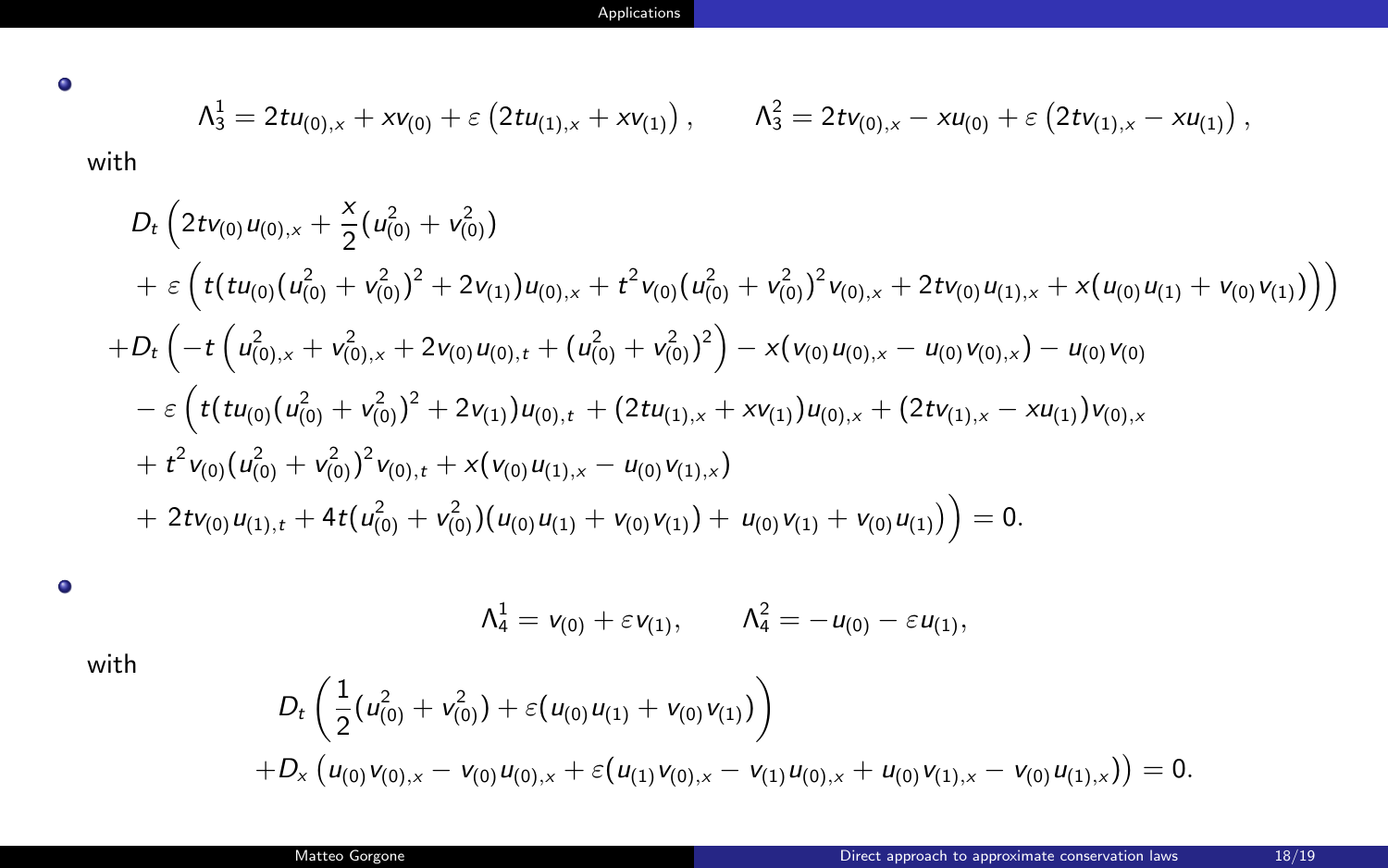$\bullet$ 

$$
\Lambda_3^1 = 2t u_{(0),x} + x v_{(0)} + \varepsilon \left( 2t u_{(1),x} + x v_{(1)} \right), \qquad \Lambda_3^2 = 2t v_{(0),x} - x u_{(0)} + \varepsilon \left( 2t v_{(1),x} - x u_{(1)} \right),
$$

with

$$
D_{t}\left(2t v_{(0)} u_{(0),x} + \frac{x}{2}(u_{(0)}^{2} + v_{(0)}^{2}) + 2v_{(1)}u_{(0),x} + t^{2}v_{(0)}(u_{(0)}^{2} + v_{(0)}^{2})^{2}v_{(0),x} + 2tv_{(0)}u_{(1),x} + x(u_{(0)}u_{(1)} + v_{(0)}v_{(1)})\right)\n+ D_{t}\left(-t\left(u_{(0),x}^{2} + v_{(0),x}^{2} + 2v_{(0)}u_{(0),t} + (u_{(0)}^{2} + v_{(0)}^{2})^{2}\right) - x(v_{(0)}u_{(0),x} - u_{(0)}v_{(0),x}) - u_{(0)}v_{(0)}\right) - \varepsilon\left(t(tu_{(0)}(u_{(0)}^{2} + v_{(0)}^{2})^{2} + 2v_{(1)}u_{(0),t} + (2tu_{(1),x} + xv_{(1)})u_{(0),x} + (2tv_{(1),x} - xu_{(1)})v_{(0),x}\right) + t^{2}v_{(0)}(u_{(0)}^{2} + v_{(0)}^{2})^{2}v_{(0),t} + x(v_{(0)}u_{(1),x} - u_{(0)}v_{(1),x}) + 2tv_{(0)}u_{(1),t} + 4t(u_{(0)}^{2} + v_{(0)}^{2})(u_{(0)}u_{(1)} + v_{(0)}v_{(1)}) + u_{(0)}v_{(1)} + v_{(0)}u_{(1)})\right) = 0.
$$

 $\bullet$ 

$$
\Lambda_4^1 = v_{(0)} + \varepsilon v_{(1)}, \qquad \Lambda_4^2 = -u_{(0)} - \varepsilon u_{(1)},
$$

with

$$
D_t\left(\frac{1}{2}(u_{(0)}^2+v_{(0)}^2)+\varepsilon(u_{(0)}u_{(1)}+v_{(0)}v_{(1)})\right)+D_x\left(u_{(0)}v_{(0),x}-v_{(0)}u_{(0),x}+\varepsilon(u_{(1)}v_{(0),x}-v_{(1)}u_{(0),x}+u_{(0)}v_{(1),x}-v_{(0)}u_{(1),x})\right)=0.
$$